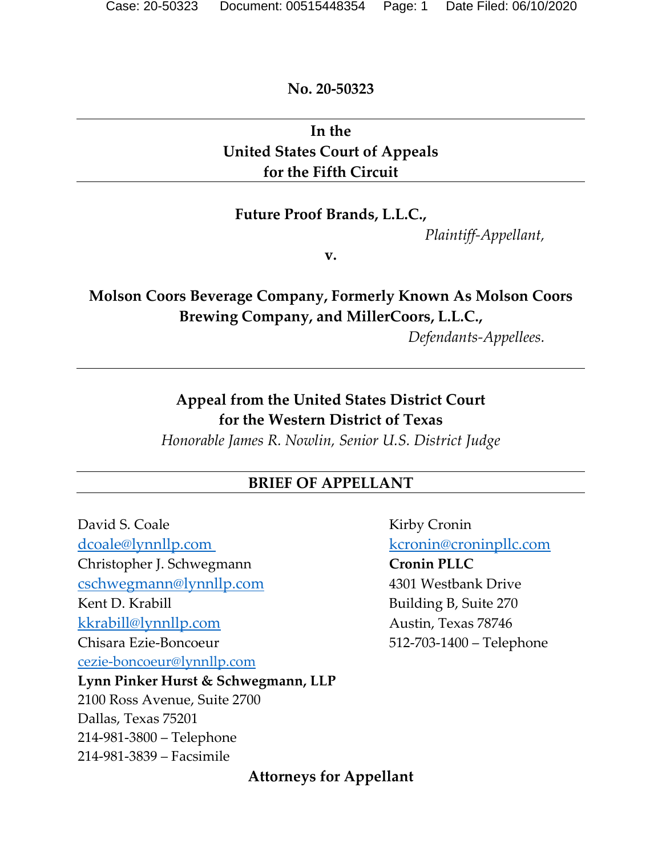**No. 20-50323**

## **In the United States Court of Appeals for the Fifth Circuit**

#### **Future Proof Brands, L.L.C.,**

*Plaintiff-Appellant,*

**v.**

# **Molson Coors Beverage Company, Formerly Known As Molson Coors Brewing Company, and MillerCoors, L.L.C.,**

*Defendants-Appellees.*

**Appeal from the United States District Court for the Western District of Texas**

*Honorable James R. Nowlin, Senior U.S. District Judge*

#### **BRIEF OF APPELLANT**

David S. Coale Kirby Cronin dcoale@lynnllp.com kcronin@croninpllc.com Christopher J. Schwegmann **Cronin PLLC** cschwegmann@lynnllp.com 4301 Westbank Drive Kent D. Krabill Building B, Suite 270 kkrabill@lynnllp.com Austin, Texas 78746 Chisara Ezie-Boncoeur 512-703-1400 – Telephone [cezie-boncoeur@lynnllp.com](mailto:cezie-boncoeur@lynnllp.com) **Lynn Pinker Hurst & Schwegmann, LLP**  2100 Ross Avenue, Suite 2700 Dallas, Texas 75201 214-981-3800 – Telephone 214-981-3839 – Facsimile

#### **Attorneys for Appellant**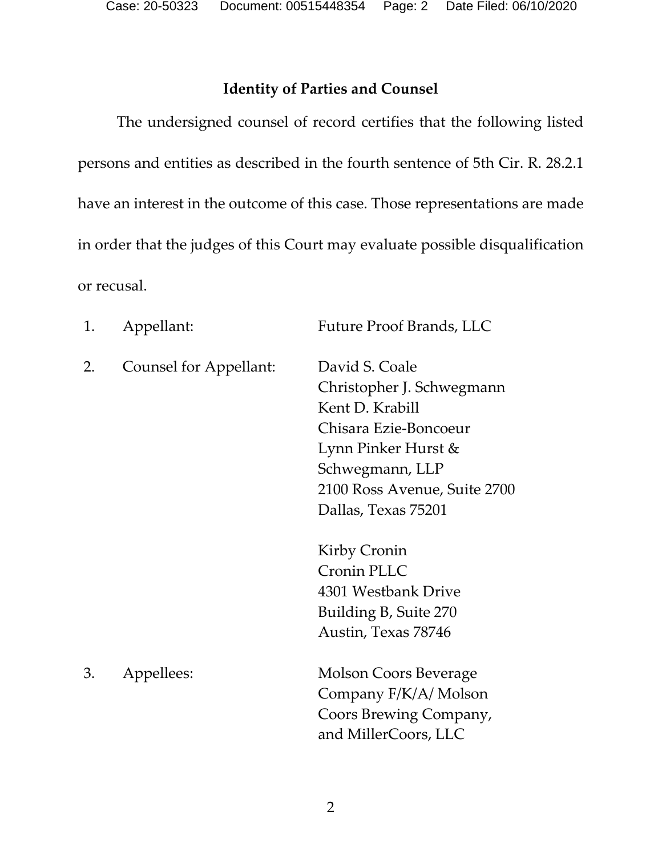Case: 20-50323 Document: 00515448354 Page: 2 Date Filed: 06/10/2020

### **Identity of Parties and Counsel**

<span id="page-1-0"></span>The undersigned counsel of record certifies that the following listed persons and entities as described in the fourth sentence of 5th Cir. R. 28.2.1 have an interest in the outcome of this case. Those representations are made in order that the judges of this Court may evaluate possible disqualification or recusal.

| 1. | Appellant:             | Future Proof Brands, LLC                                                                                                                                                                                      |
|----|------------------------|---------------------------------------------------------------------------------------------------------------------------------------------------------------------------------------------------------------|
| 2. | Counsel for Appellant: | David S. Coale<br>Christopher J. Schwegmann<br>Kent D. Krabill<br>Chisara Ezie-Boncoeur<br>Lynn Pinker Hurst &<br>Schwegmann, LLP<br>2100 Ross Avenue, Suite 2700<br>Dallas, Texas 75201                      |
| 3. | Appellees:             | Kirby Cronin<br><b>Cronin PLLC</b><br>4301 Westbank Drive<br>Building B, Suite 270<br>Austin, Texas 78746<br>Molson Coors Beverage<br>Company F/K/A/ Molson<br>Coors Brewing Company,<br>and MillerCoors, LLC |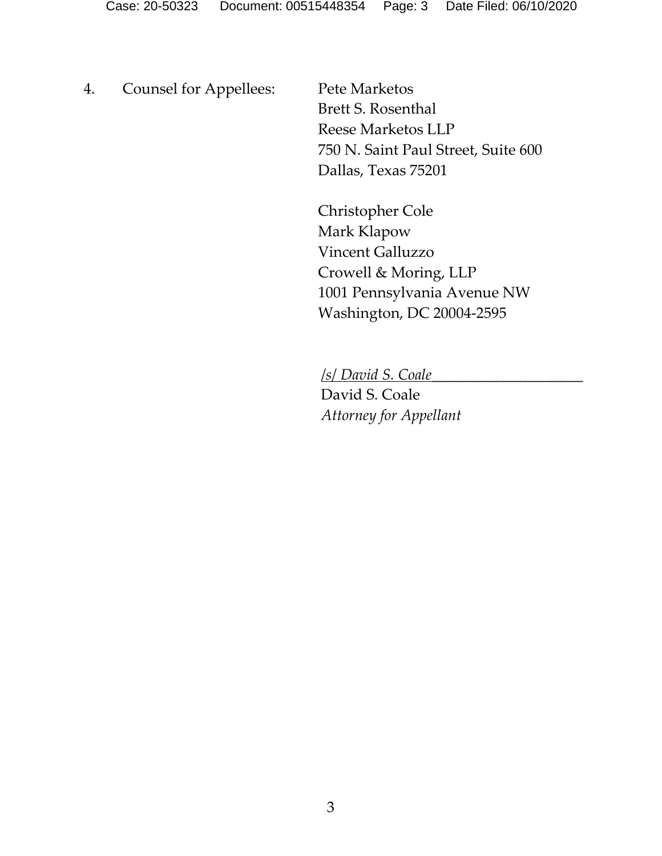4. Counsel for Appellees: Pete Marketos

Brett S. Rosenthal Reese Marketos LLP 750 N. Saint Paul Street, Suite 600 Dallas, Texas 75201

Christopher Cole Mark Klapow Vincent Galluzzo Crowell & Moring, LLP 1001 Pennsylvania Avenue NW Washington, DC 20004-2595

/*s*/ *David S. Coale*\_\_\_\_\_\_\_\_\_\_\_\_\_\_\_\_\_\_\_\_

David S. Coale *Attorney for Appellant*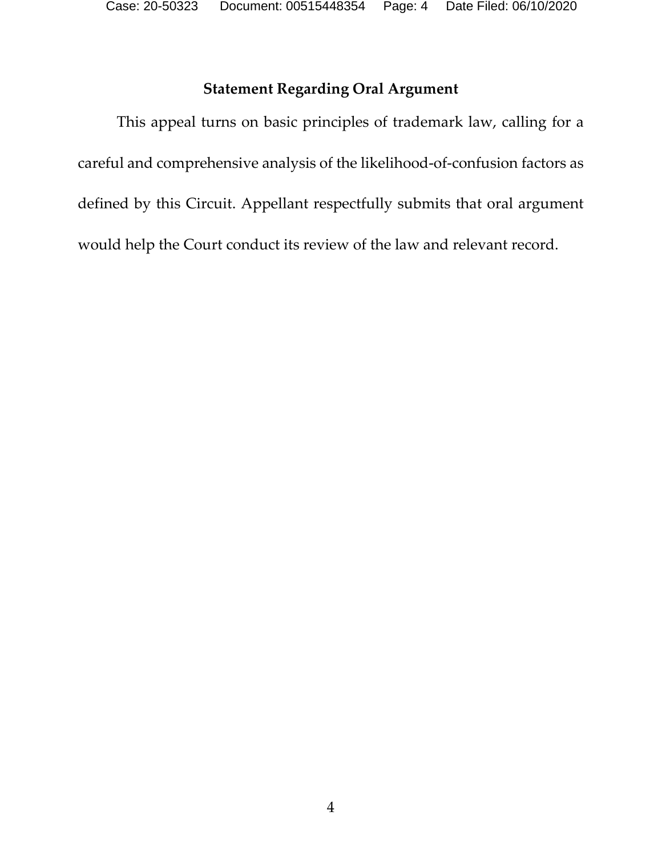### **Statement Regarding Oral Argument**

<span id="page-3-0"></span>This appeal turns on basic principles of trademark law, calling for a careful and comprehensive analysis of the likelihood-of-confusion factors as defined by this Circuit. Appellant respectfully submits that oral argument would help the Court conduct its review of the law and relevant record.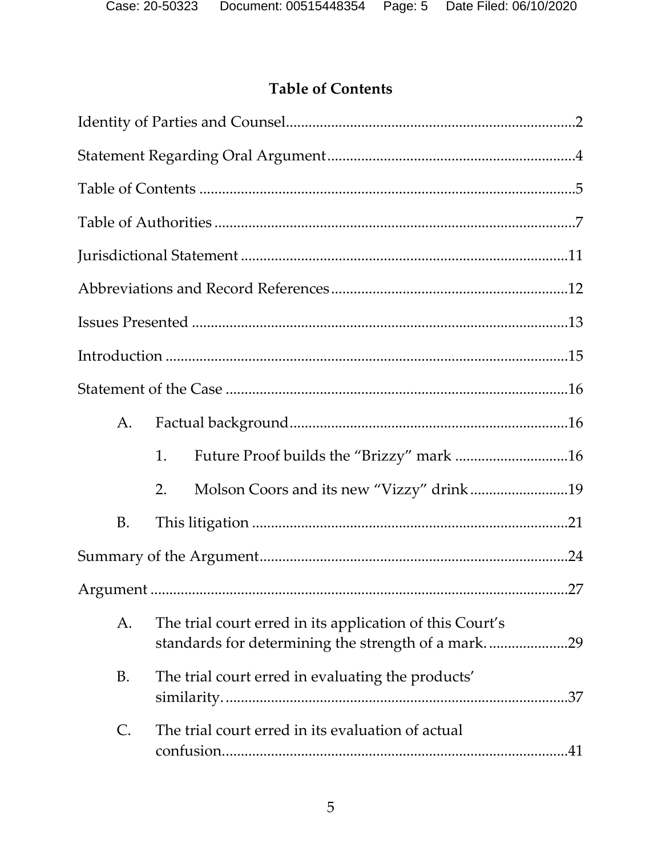# **Table of Contents**

<span id="page-4-0"></span>

| A.        |                                                                                                                |  |
|-----------|----------------------------------------------------------------------------------------------------------------|--|
|           | 1.                                                                                                             |  |
|           | Molson Coors and its new "Vizzy" drink19<br>2.                                                                 |  |
| B.        |                                                                                                                |  |
|           |                                                                                                                |  |
|           |                                                                                                                |  |
| A.        | The trial court erred in its application of this Court's<br>standards for determining the strength of a mark29 |  |
| <b>B.</b> | The trial court erred in evaluating the products'                                                              |  |
| C.        | The trial court erred in its evaluation of actual                                                              |  |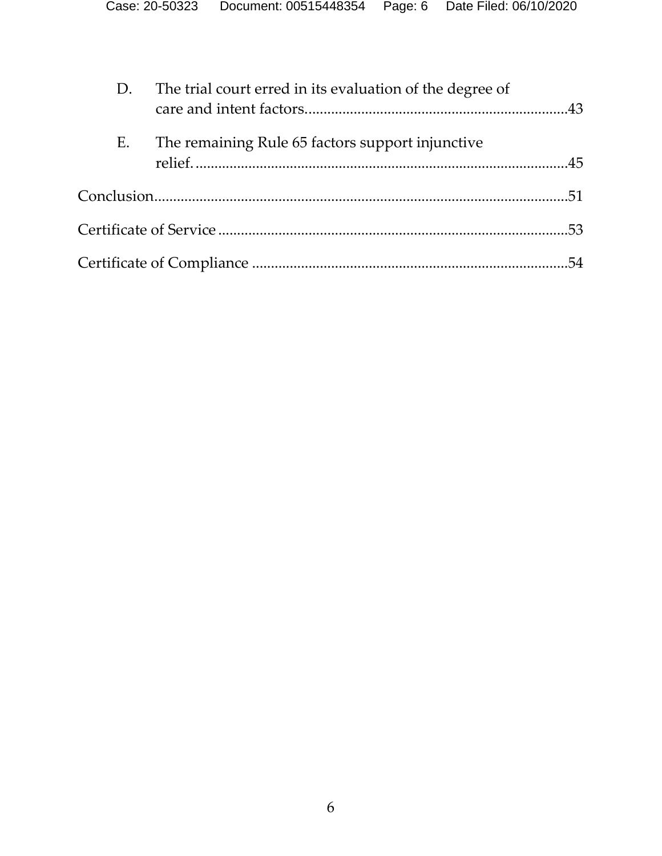| D. | The trial court erred in its evaluation of the degree of |  |
|----|----------------------------------------------------------|--|
| E. | The remaining Rule 65 factors support injunctive         |  |
|    |                                                          |  |
|    |                                                          |  |
|    |                                                          |  |
|    |                                                          |  |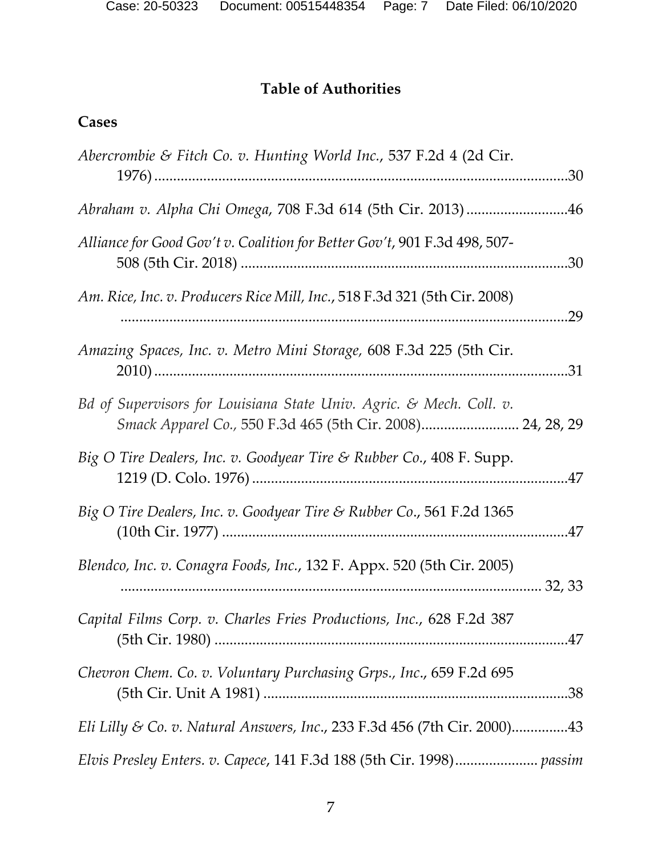# **Table of Authorities**

# <span id="page-6-0"></span>**Cases**

| Abercrombie & Fitch Co. v. Hunting World Inc., 537 F.2d 4 (2d Cir.                                                                | .30 |
|-----------------------------------------------------------------------------------------------------------------------------------|-----|
| Abraham v. Alpha Chi Omega, 708 F.3d 614 (5th Cir. 2013)46                                                                        |     |
| Alliance for Good Gov't v. Coalition for Better Gov't, 901 F.3d 498, 507-                                                         | .30 |
| Am. Rice, Inc. v. Producers Rice Mill, Inc., 518 F.3d 321 (5th Cir. 2008)                                                         | .29 |
| Amazing Spaces, Inc. v. Metro Mini Storage, 608 F.3d 225 (5th Cir.                                                                | .31 |
| Bd of Supervisors for Louisiana State Univ. Agric. & Mech. Coll. v.<br>Smack Apparel Co., 550 F.3d 465 (5th Cir. 2008) 24, 28, 29 |     |
| Big O Tire Dealers, Inc. v. Goodyear Tire & Rubber Co., 408 F. Supp.                                                              |     |
| Big O Tire Dealers, Inc. v. Goodyear Tire & Rubber Co., 561 F.2d 1365                                                             |     |
| Blendco, Inc. v. Conagra Foods, Inc., 132 F. Appx. 520 (5th Cir. 2005)                                                            |     |
| Capital Films Corp. v. Charles Fries Productions, Inc., 628 F.2d 387                                                              |     |
| Chevron Chem. Co. v. Voluntary Purchasing Grps., Inc., 659 F.2d 695                                                               |     |
| Eli Lilly & Co. v. Natural Answers, Inc., 233 F.3d 456 (7th Cir. 2000)43                                                          |     |
|                                                                                                                                   |     |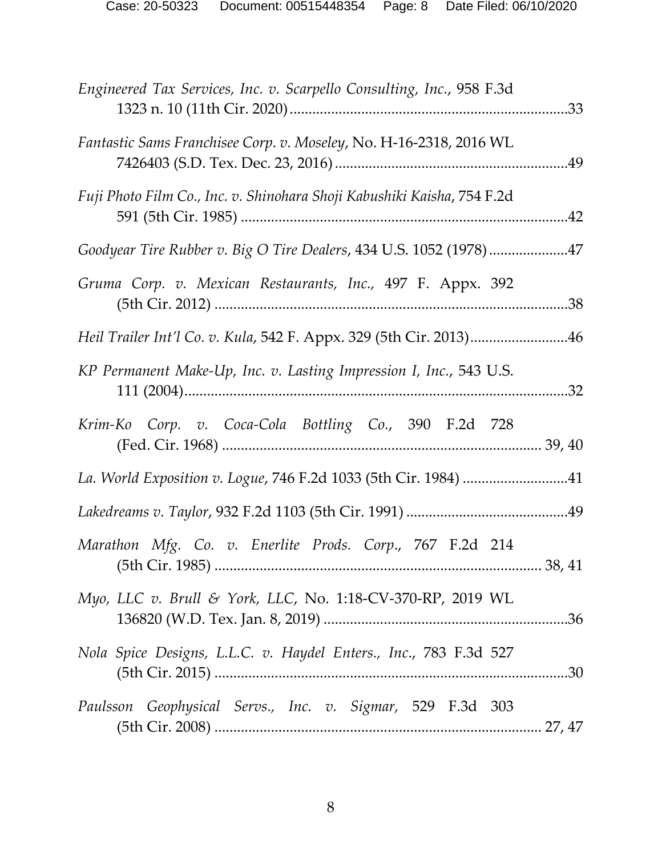| Engineered Tax Services, Inc. v. Scarpello Consulting, Inc., 958 F.3d   |     |
|-------------------------------------------------------------------------|-----|
| Fantastic Sams Franchisee Corp. v. Moseley, No. H-16-2318, 2016 WL      |     |
| Fuji Photo Film Co., Inc. v. Shinohara Shoji Kabushiki Kaisha, 754 F.2d |     |
| Goodyear Tire Rubber v. Big O Tire Dealers, 434 U.S. 1052 (1978)47      |     |
| Gruma Corp. v. Mexican Restaurants, Inc., 497 F. Appx. 392              | .38 |
| Heil Trailer Int'l Co. v. Kula, 542 F. Appx. 329 (5th Cir. 2013)46      |     |
| KP Permanent Make-Up, Inc. v. Lasting Impression I, Inc., 543 U.S.      | .32 |
| Krim-Ko Corp. v. Coca-Cola Bottling Co., 390 F.2d 728                   |     |
| La. World Exposition v. Logue, 746 F.2d 1033 (5th Cir. 1984) 41         |     |
|                                                                         |     |
| Marathon Mfg. Co. v. Enerlite Prods. Corp., 767 F.2d 214                |     |
| Myo, LLC v. Brull & York, LLC, No. 1:18-CV-370-RP, 2019 WL              |     |
| Nola Spice Designs, L.L.C. v. Haydel Enters., Inc., 783 F.3d 527        |     |
| Paulsson Geophysical Servs., Inc. v. Sigmar, 529 F.3d 303               |     |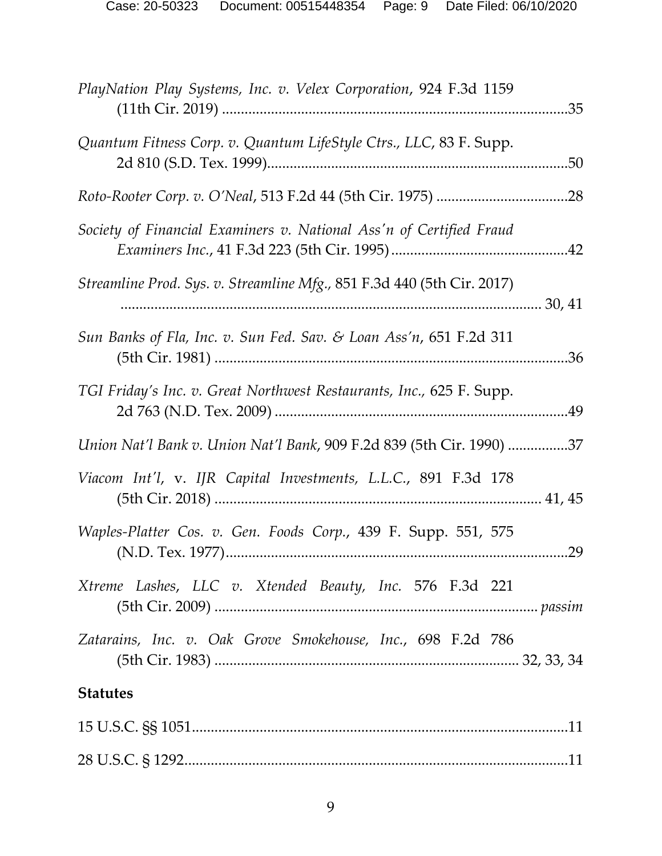| PlayNation Play Systems, Inc. v. Velex Corporation, 924 F.3d 1159      | .35 |
|------------------------------------------------------------------------|-----|
| Quantum Fitness Corp. v. Quantum LifeStyle Ctrs., LLC, 83 F. Supp.     | 50  |
|                                                                        | .28 |
| Society of Financial Examiners v. National Ass'n of Certified Fraud    | .42 |
| Streamline Prod. Sys. v. Streamline Mfg., 851 F.3d 440 (5th Cir. 2017) |     |
| Sun Banks of Fla, Inc. v. Sun Fed. Sav. & Loan Ass'n, 651 F.2d 311     | .36 |
| TGI Friday's Inc. v. Great Northwest Restaurants, Inc., 625 F. Supp.   | .49 |
| Union Nat'l Bank v. Union Nat'l Bank, 909 F.2d 839 (5th Cir. 1990) 37  |     |
| Viacom Int'l, v. IJR Capital Investments, L.L.C., 891 F.3d 178         |     |
| Waples-Platter Cos. v. Gen. Foods Corp., 439 F. Supp. 551, 575         | .29 |
| Xtreme Lashes, LLC v. Xtended Beauty, Inc. 576 F.3d 221                |     |
| Zatarains, Inc. v. Oak Grove Smokehouse, Inc., 698 F.2d 786            |     |
| <b>Statutes</b>                                                        |     |
|                                                                        |     |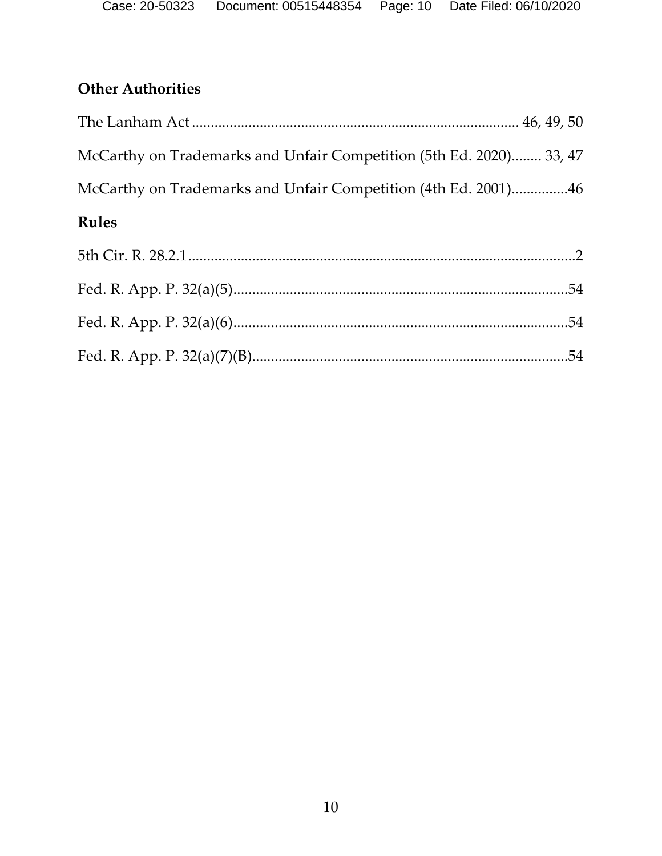# **Other Authorities**

| McCarthy on Trademarks and Unfair Competition (5th Ed. 2020) 33, 47 |  |
|---------------------------------------------------------------------|--|
| McCarthy on Trademarks and Unfair Competition (4th Ed. 2001)46      |  |
| <b>Rules</b>                                                        |  |
|                                                                     |  |
|                                                                     |  |
|                                                                     |  |
|                                                                     |  |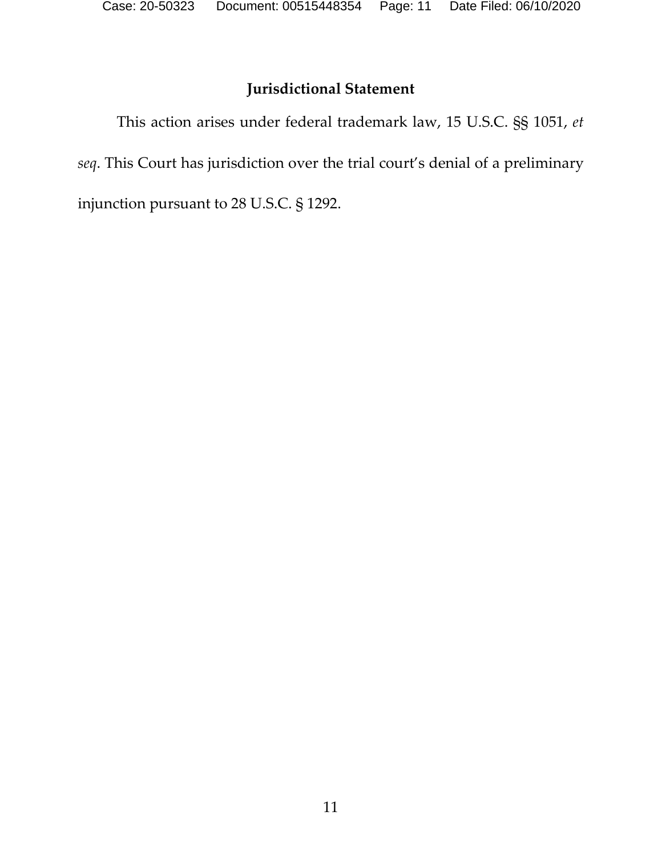# **Jurisdictional Statement**

<span id="page-10-0"></span>This action arises under federal trademark law, 15 U.S.C. §§ 1051, *et seq*. This Court has jurisdiction over the trial court's denial of a preliminary injunction pursuant to 28 U.S.C. § 1292.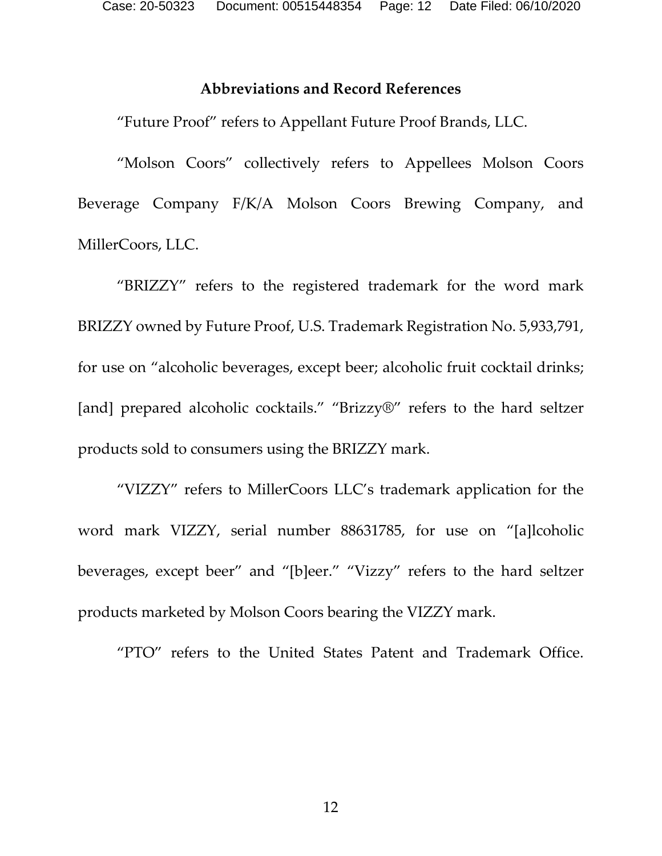#### **Abbreviations and Record References**

<span id="page-11-0"></span>"Future Proof" refers to Appellant Future Proof Brands, LLC.

"Molson Coors" collectively refers to Appellees Molson Coors Beverage Company F/K/A Molson Coors Brewing Company, and MillerCoors, LLC.

"BRIZZY" refers to the registered trademark for the word mark BRIZZY owned by Future Proof, U.S. Trademark Registration No. 5,933,791, for use on "alcoholic beverages, except beer; alcoholic fruit cocktail drinks; [and] prepared alcoholic cocktails." "Brizzy®" refers to the hard seltzer products sold to consumers using the BRIZZY mark.

"VIZZY" refers to MillerCoors LLC's trademark application for the word mark VIZZY, serial number 88631785, for use on "[a]lcoholic beverages, except beer" and "[b]eer." "Vizzy" refers to the hard seltzer products marketed by Molson Coors bearing the VIZZY mark.

"PTO" refers to the United States Patent and Trademark Office.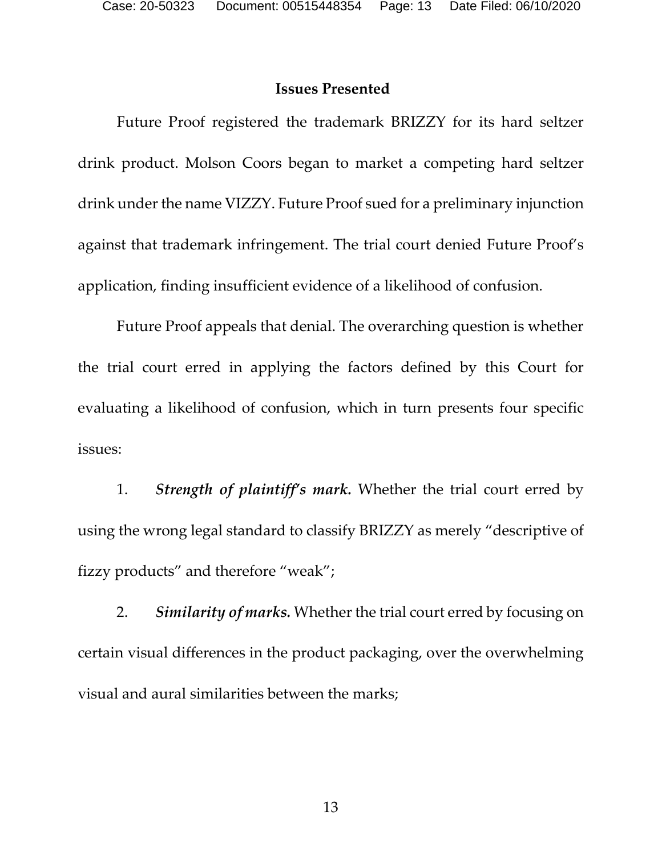#### <span id="page-12-0"></span>**Issues Presented**

Future Proof registered the trademark BRIZZY for its hard seltzer drink product. Molson Coors began to market a competing hard seltzer drink under the name VIZZY. Future Proof sued for a preliminary injunction against that trademark infringement. The trial court denied Future Proof's application, finding insufficient evidence of a likelihood of confusion.

Future Proof appeals that denial. The overarching question is whether the trial court erred in applying the factors defined by this Court for evaluating a likelihood of confusion, which in turn presents four specific issues:

1. *Strength of plaintiff's mark.* Whether the trial court erred by using the wrong legal standard to classify BRIZZY as merely "descriptive of fizzy products" and therefore "weak";

2. *Similarity of marks.* Whether the trial court erred by focusing on certain visual differences in the product packaging, over the overwhelming visual and aural similarities between the marks;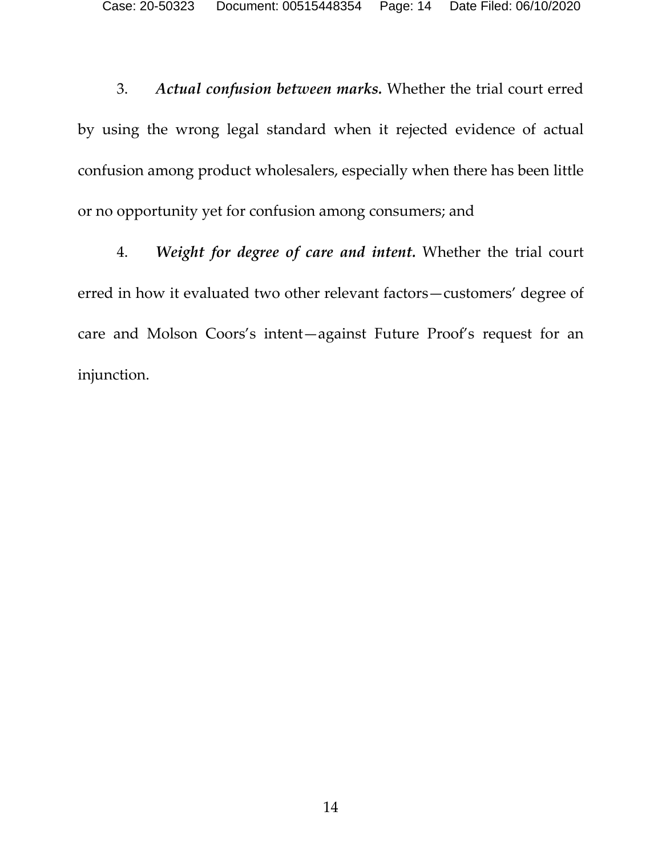3. *Actual confusion between marks.* Whether the trial court erred by using the wrong legal standard when it rejected evidence of actual confusion among product wholesalers, especially when there has been little or no opportunity yet for confusion among consumers; and

4. *Weight for degree of care and intent.* Whether the trial court erred in how it evaluated two other relevant factors—customers' degree of care and Molson Coors's intent—against Future Proof's request for an injunction.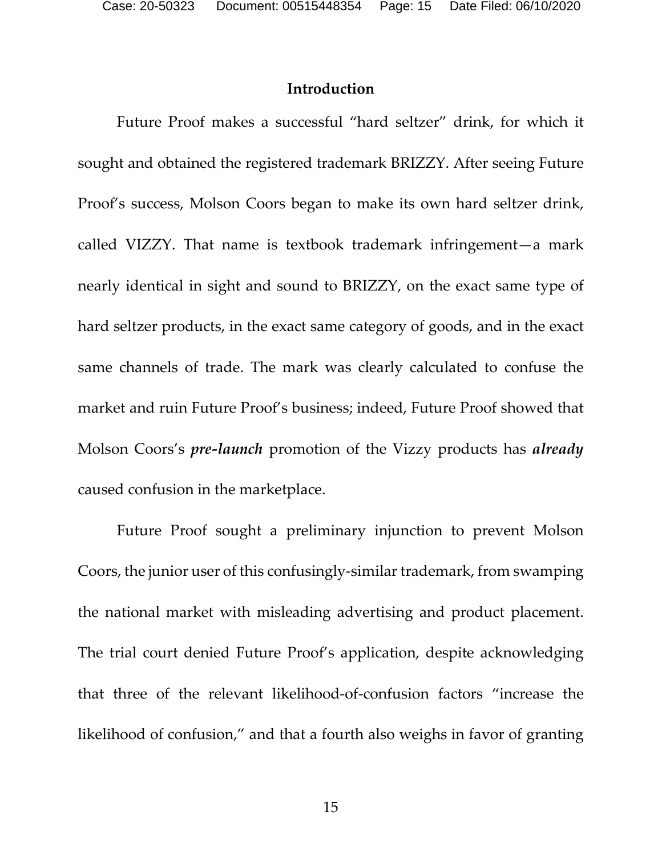#### **Introduction**

<span id="page-14-0"></span>Future Proof makes a successful "hard seltzer" drink, for which it sought and obtained the registered trademark BRIZZY. After seeing Future Proof's success, Molson Coors began to make its own hard seltzer drink, called VIZZY. That name is textbook trademark infringement—a mark nearly identical in sight and sound to BRIZZY, on the exact same type of hard seltzer products, in the exact same category of goods, and in the exact same channels of trade. The mark was clearly calculated to confuse the market and ruin Future Proof's business; indeed, Future Proof showed that Molson Coors's *pre-launch* promotion of the Vizzy products has *already* caused confusion in the marketplace.

Future Proof sought a preliminary injunction to prevent Molson Coors, the junior user of this confusingly-similar trademark, from swamping the national market with misleading advertising and product placement. The trial court denied Future Proof's application, despite acknowledging that three of the relevant likelihood-of-confusion factors "increase the likelihood of confusion," and that a fourth also weighs in favor of granting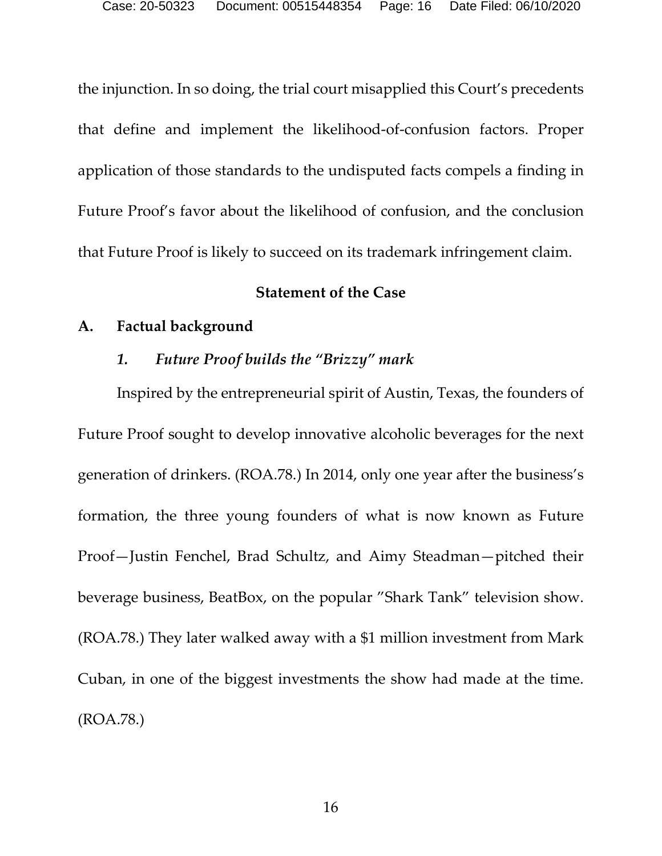the injunction. In so doing, the trial court misapplied this Court's precedents that define and implement the likelihood-of-confusion factors. Proper application of those standards to the undisputed facts compels a finding in Future Proof's favor about the likelihood of confusion, and the conclusion that Future Proof is likely to succeed on its trademark infringement claim.

#### **Statement of the Case**

#### <span id="page-15-2"></span><span id="page-15-1"></span><span id="page-15-0"></span>**A. Factual background**

#### *1. Future Proof builds the "Brizzy" mark*

Inspired by the entrepreneurial spirit of Austin, Texas, the founders of Future Proof sought to develop innovative alcoholic beverages for the next generation of drinkers. (ROA.78.) In 2014, only one year after the business's formation, the three young founders of what is now known as Future Proof—Justin Fenchel, Brad Schultz, and Aimy Steadman—pitched their beverage business, BeatBox, on the popular "Shark Tank" television show. (ROA.78.) They later walked away with a \$1 million investment from Mark Cuban, in one of the biggest investments the show had made at the time. (ROA.78.)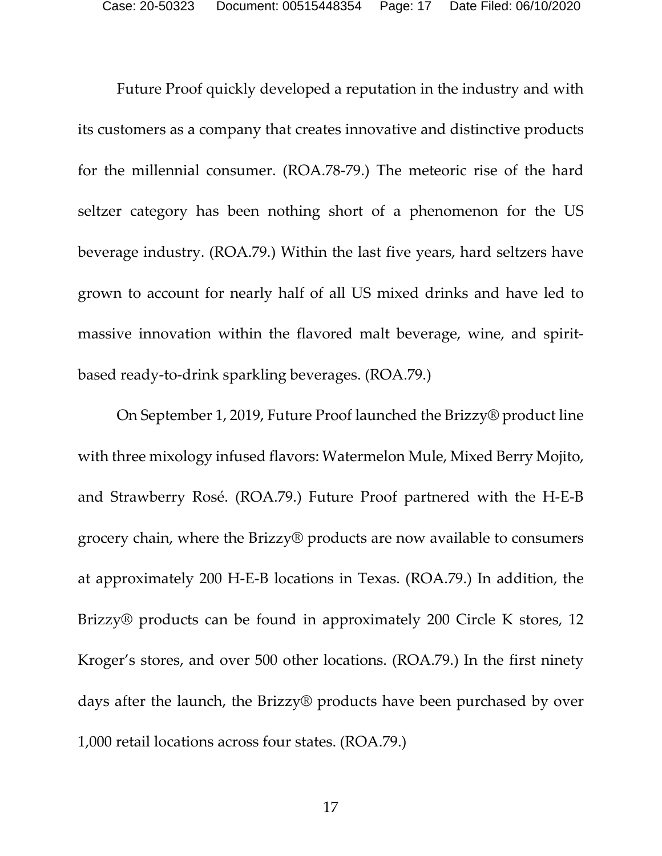Future Proof quickly developed a reputation in the industry and with its customers as a company that creates innovative and distinctive products for the millennial consumer. (ROA.78-79.) The meteoric rise of the hard seltzer category has been nothing short of a phenomenon for the US beverage industry. (ROA.79.) Within the last five years, hard seltzers have grown to account for nearly half of all US mixed drinks and have led to massive innovation within the flavored malt beverage, wine, and spiritbased ready-to-drink sparkling beverages. (ROA.79.)

On September 1, 2019, Future Proof launched the Brizzy® product line with three mixology infused flavors: Watermelon Mule, Mixed Berry Mojito, and Strawberry Rosé. (ROA.79.) Future Proof partnered with the H-E-B grocery chain, where the Brizzy® products are now available to consumers at approximately 200 H-E-B locations in Texas. (ROA.79.) In addition, the Brizzy® products can be found in approximately 200 Circle K stores, 12 Kroger's stores, and over 500 other locations. (ROA.79.) In the first ninety days after the launch, the Brizzy® products have been purchased by over 1,000 retail locations across four states. (ROA.79.)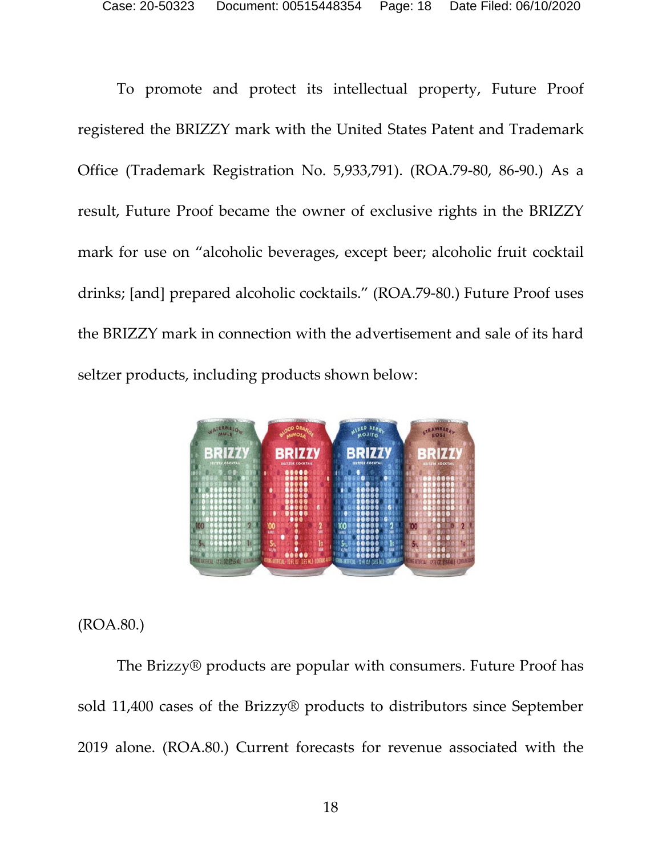To promote and protect its intellectual property, Future Proof registered the BRIZZY mark with the United States Patent and Trademark Office (Trademark Registration No. 5,933,791). (ROA.79-80, 86-90.) As a result, Future Proof became the owner of exclusive rights in the BRIZZY mark for use on "alcoholic beverages, except beer; alcoholic fruit cocktail drinks; [and] prepared alcoholic cocktails." (ROA.79-80.) Future Proof uses the BRIZZY mark in connection with the advertisement and sale of its hard seltzer products, including products shown below:



### (ROA.80.)

The Brizzy® products are popular with consumers. Future Proof has sold 11,400 cases of the Brizzy® products to distributors since September 2019 alone. (ROA.80.) Current forecasts for revenue associated with the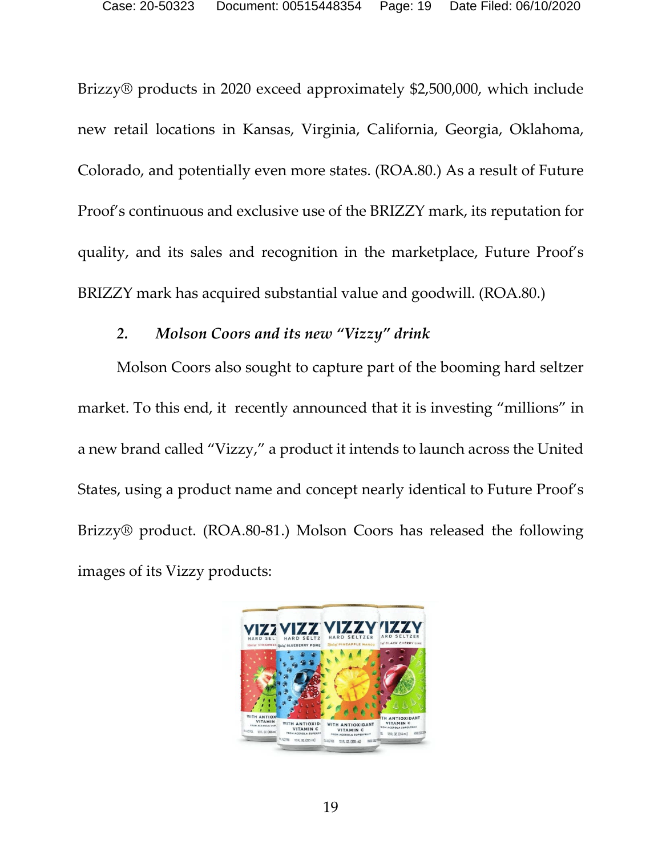Brizzy® products in 2020 exceed approximately \$2,500,000, which include new retail locations in Kansas, Virginia, California, Georgia, Oklahoma, Colorado, and potentially even more states. (ROA.80.) As a result of Future Proof's continuous and exclusive use of the BRIZZY mark, its reputation for quality, and its sales and recognition in the marketplace, Future Proof's BRIZZY mark has acquired substantial value and goodwill. (ROA.80.)

#### *2. Molson Coors and its new "Vizzy" drink*

<span id="page-18-0"></span>Molson Coors also sought to capture part of the booming hard seltzer market. To this end, it recently announced that it is investing "millions" in a new brand called "Vizzy," a product it intends to launch across the United States, using a product name and concept nearly identical to Future Proof's Brizzy® product. (ROA.80-81.) Molson Coors has released the following images of its Vizzy products:

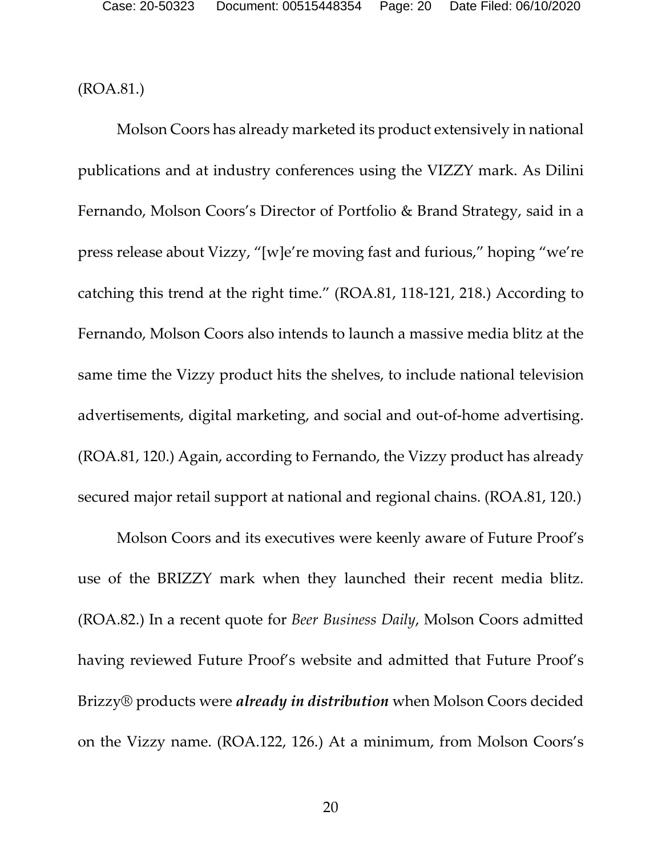(ROA.81.)

Molson Coors has already marketed its product extensively in national publications and at industry conferences using the VIZZY mark. As Dilini Fernando, Molson Coors's Director of Portfolio & Brand Strategy, said in a press release about Vizzy, "[w]e're moving fast and furious," hoping "we're catching this trend at the right time." (ROA.81, 118-121, 218.) According to Fernando, Molson Coors also intends to launch a massive media blitz at the same time the Vizzy product hits the shelves, to include national television advertisements, digital marketing, and social and out-of-home advertising. (ROA.81, 120.) Again, according to Fernando, the Vizzy product has already secured major retail support at national and regional chains. (ROA.81, 120.)

Molson Coors and its executives were keenly aware of Future Proof's use of the BRIZZY mark when they launched their recent media blitz. (ROA.82.) In a recent quote for *Beer Business Daily*, Molson Coors admitted having reviewed Future Proof's website and admitted that Future Proof's Brizzy® products were *already in distribution* when Molson Coors decided on the Vizzy name. (ROA.122, 126.) At a minimum, from Molson Coors's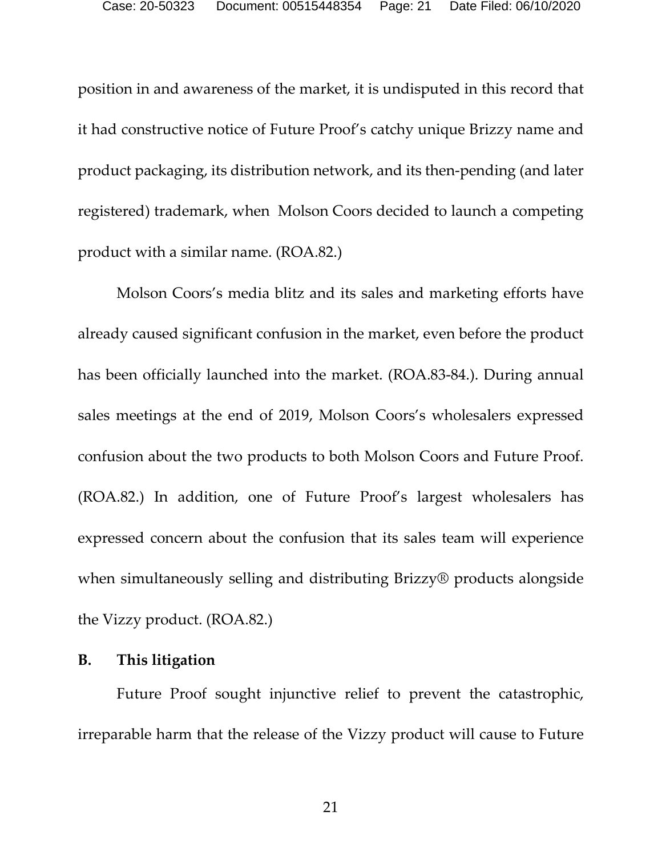position in and awareness of the market, it is undisputed in this record that it had constructive notice of Future Proof's catchy unique Brizzy name and product packaging, its distribution network, and its then-pending (and later registered) trademark, when Molson Coors decided to launch a competing product with a similar name. (ROA.82.)

Molson Coors's media blitz and its sales and marketing efforts have already caused significant confusion in the market, even before the product has been officially launched into the market. (ROA.83-84.). During annual sales meetings at the end of 2019, Molson Coors's wholesalers expressed confusion about the two products to both Molson Coors and Future Proof. (ROA.82.) In addition, one of Future Proof's largest wholesalers has expressed concern about the confusion that its sales team will experience when simultaneously selling and distributing Brizzy® products alongside the Vizzy product. (ROA.82.)

#### <span id="page-20-0"></span>**B. This litigation**

Future Proof sought injunctive relief to prevent the catastrophic, irreparable harm that the release of the Vizzy product will cause to Future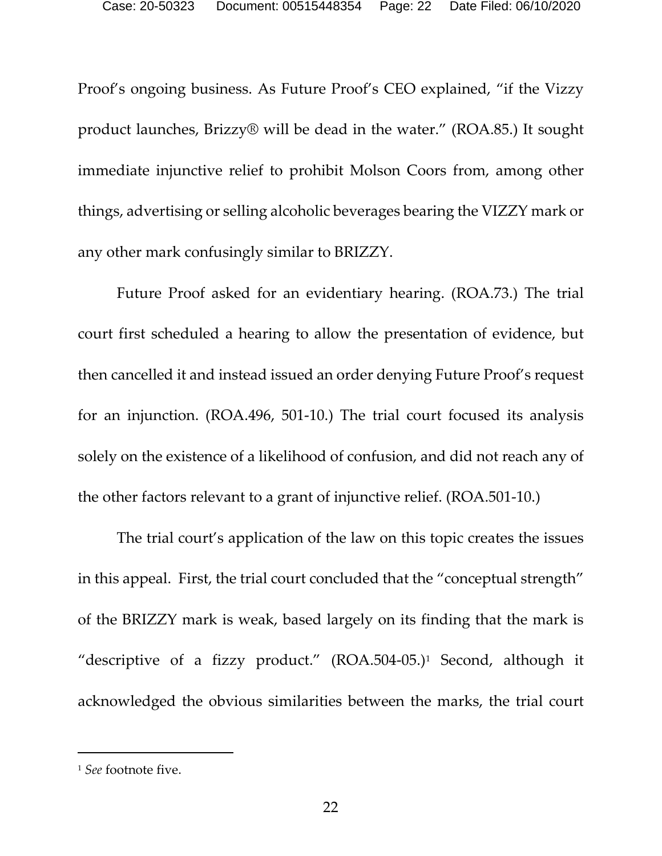Proof's ongoing business. As Future Proof's CEO explained, "if the Vizzy product launches, Brizzy® will be dead in the water." (ROA.85.) It sought immediate injunctive relief to prohibit Molson Coors from, among other things, advertising or selling alcoholic beverages bearing the VIZZY mark or any other mark confusingly similar to BRIZZY.

Future Proof asked for an evidentiary hearing. (ROA.73.) The trial court first scheduled a hearing to allow the presentation of evidence, but then cancelled it and instead issued an order denying Future Proof's request for an injunction. (ROA.496, 501-10.) The trial court focused its analysis solely on the existence of a likelihood of confusion, and did not reach any of the other factors relevant to a grant of injunctive relief. (ROA.501-10.)

The trial court's application of the law on this topic creates the issues in this appeal. First, the trial court concluded that the "conceptual strength" of the BRIZZY mark is weak, based largely on its finding that the mark is "descriptive of a fizzy product." (ROA.504-05.)[1](#page-21-0) Second, although it acknowledged the obvious similarities between the marks, the trial court

<span id="page-21-0"></span><sup>1</sup> *See* footnote five.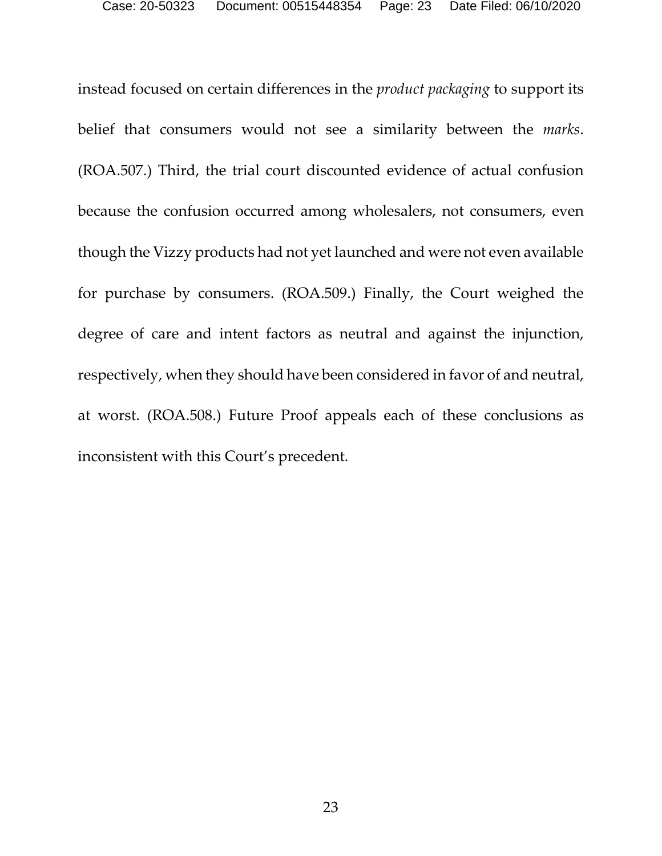instead focused on certain differences in the *product packaging* to support its belief that consumers would not see a similarity between the *marks*. (ROA.507.) Third, the trial court discounted evidence of actual confusion because the confusion occurred among wholesalers, not consumers, even though the Vizzy products had not yet launched and were not even available for purchase by consumers. (ROA.509.) Finally, the Court weighed the degree of care and intent factors as neutral and against the injunction, respectively, when they should have been considered in favor of and neutral, at worst. (ROA.508.) Future Proof appeals each of these conclusions as inconsistent with this Court's precedent.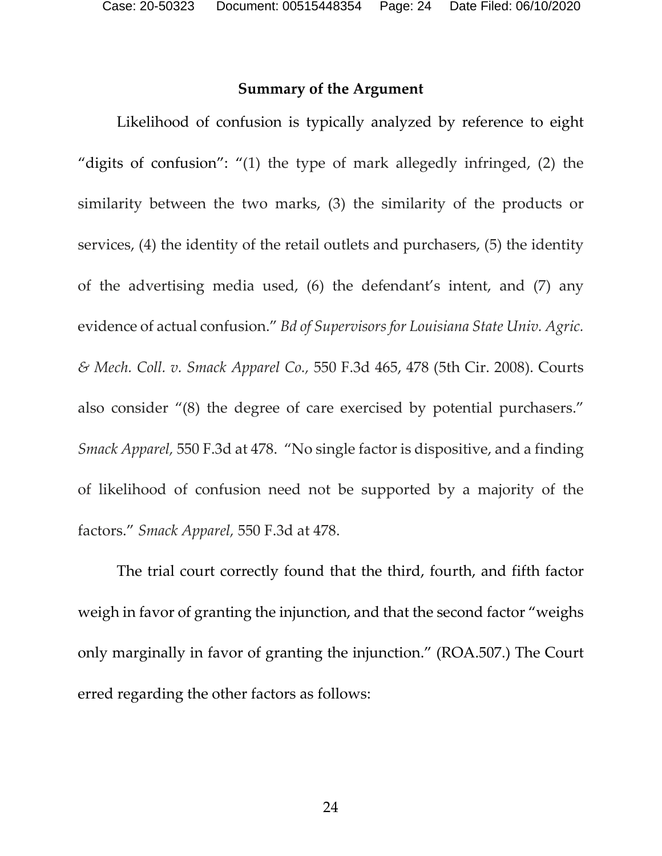#### **Summary of the Argument**

<span id="page-23-0"></span>Likelihood of confusion is typically analyzed by reference to eight "digits of confusion": "(1) the type of mark allegedly infringed, (2) the similarity between the two marks, (3) the similarity of the products or services, (4) the identity of the retail outlets and purchasers, (5) the identity of the advertising media used, (6) the defendant's intent, and (7) any evidence of actual confusion." *Bd of Supervisors for Louisiana State Univ. Agric. & Mech. Coll. v. Smack Apparel Co.,* 550 F.3d 465, 478 (5th Cir. 2008). Courts also consider "(8) the degree of care exercised by potential purchasers." *Smack Apparel,* 550 F.3d at 478. "No single factor is dispositive, and a finding of likelihood of confusion need not be supported by a majority of the factors." *Smack Apparel,* 550 F.3d at 478.

The trial court correctly found that the third, fourth, and fifth factor weigh in favor of granting the injunction, and that the second factor "weighs only marginally in favor of granting the injunction." (ROA.507.) The Court erred regarding the other factors as follows: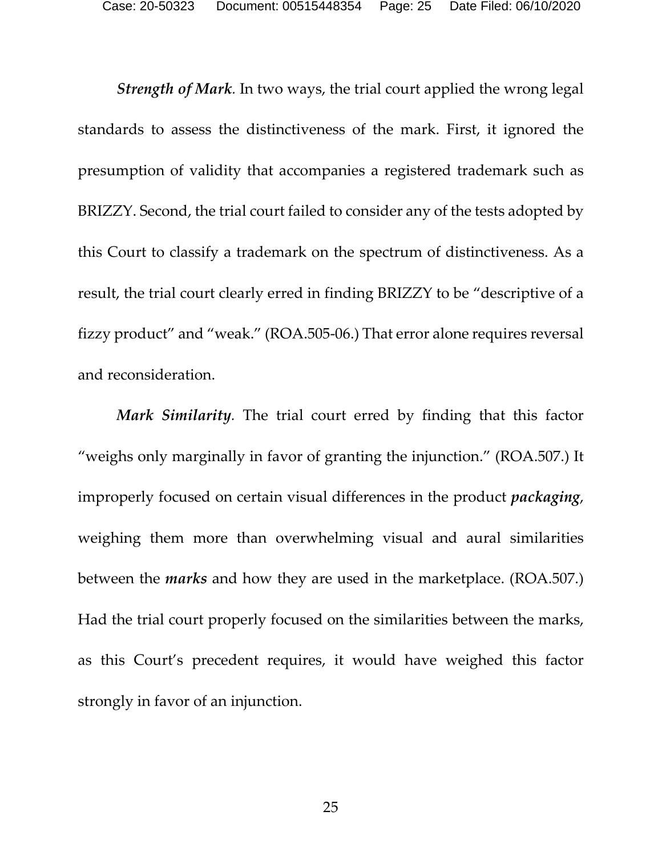*Strength of Mark.* In two ways, the trial court applied the wrong legal standards to assess the distinctiveness of the mark. First, it ignored the presumption of validity that accompanies a registered trademark such as BRIZZY. Second, the trial court failed to consider any of the tests adopted by this Court to classify a trademark on the spectrum of distinctiveness. As a result, the trial court clearly erred in finding BRIZZY to be "descriptive of a fizzy product" and "weak." (ROA.505-06.) That error alone requires reversal and reconsideration.

*Mark Similarity.* The trial court erred by finding that this factor "weighs only marginally in favor of granting the injunction." (ROA.507.) It improperly focused on certain visual differences in the product *packaging*, weighing them more than overwhelming visual and aural similarities between the *marks* and how they are used in the marketplace. (ROA.507.) Had the trial court properly focused on the similarities between the marks, as this Court's precedent requires, it would have weighed this factor strongly in favor of an injunction.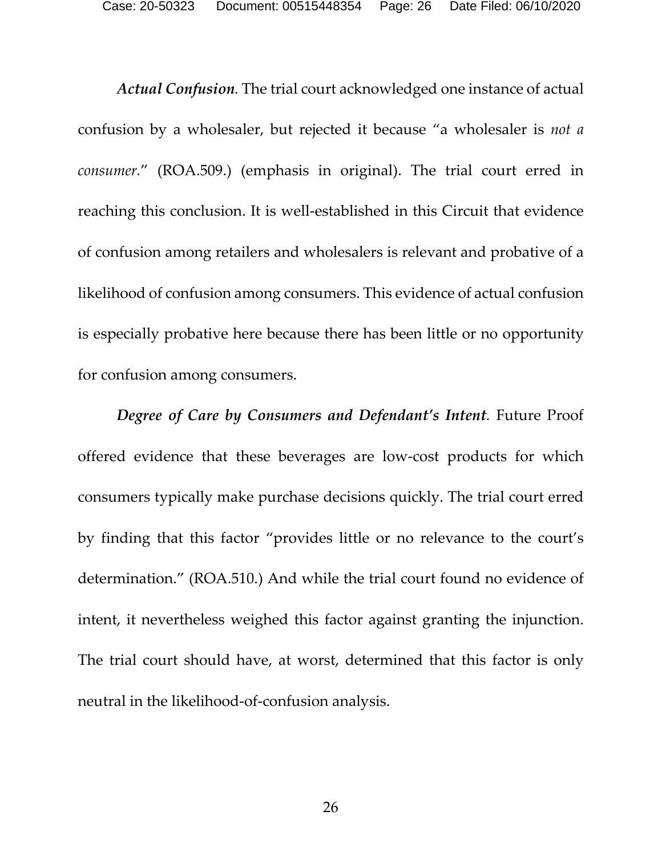Case: 20-50323 Document: 00515448354 Page: 26 Date Filed: 06/10/2020

*Actual Confusion.* The trial court acknowledged one instance of actual confusion by a wholesaler, but rejected it because "a wholesaler is *not a consumer.*" (ROA.509.) (emphasis in original). The trial court erred in reaching this conclusion. It is well-established in this Circuit that evidence of confusion among retailers and wholesalers is relevant and probative of a likelihood of confusion among consumers. This evidence of actual confusion is especially probative here because there has been little or no opportunity for confusion among consumers.

*Degree of Care by Consumers and Defendant's Intent.* Future Proof offered evidence that these beverages are low-cost products for which consumers typically make purchase decisions quickly. The trial court erred by finding that this factor "provides little or no relevance to the court's determination." (ROA.510.) And while the trial court found no evidence of intent, it nevertheless weighed this factor against granting the injunction. The trial court should have, at worst, determined that this factor is only neutral in the likelihood-of-confusion analysis.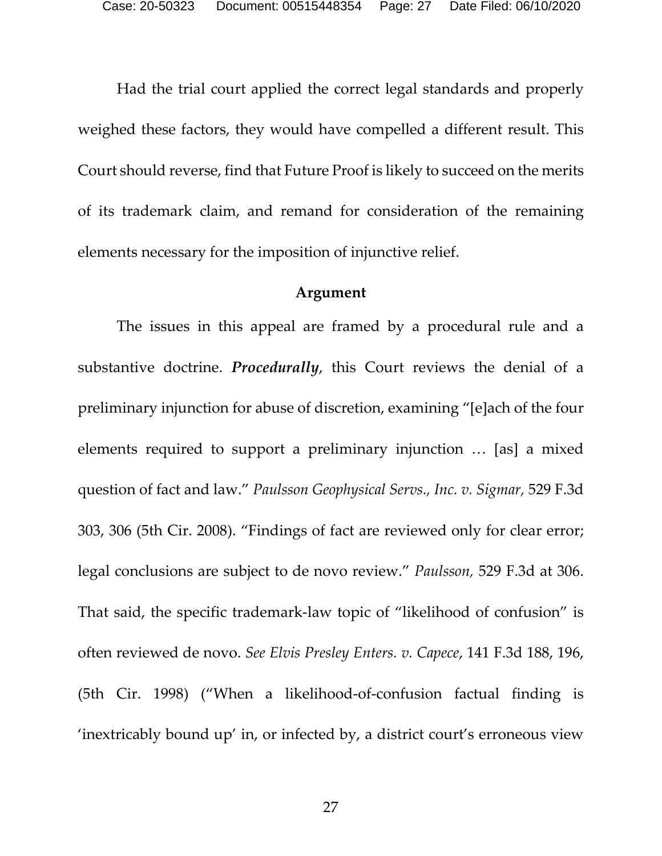Had the trial court applied the correct legal standards and properly weighed these factors, they would have compelled a different result. This Court should reverse, find that Future Proof is likely to succeed on the merits of its trademark claim, and remand for consideration of the remaining elements necessary for the imposition of injunctive relief.

#### **Argument**

<span id="page-26-0"></span>The issues in this appeal are framed by a procedural rule and a substantive doctrine. *Procedurally*, this Court reviews the denial of a preliminary injunction for abuse of discretion, examining "[e]ach of the four elements required to support a preliminary injunction … [as] a mixed question of fact and law." *Paulsson Geophysical Servs., Inc. v. Sigmar,* 529 F.3d 303, 306 (5th Cir. 2008). "Findings of fact are reviewed only for clear error; legal conclusions are subject to de novo review." *Paulsson,* 529 F.3d at 306. That said, the specific trademark-law topic of "likelihood of confusion" is often reviewed de novo. *See Elvis Presley Enters. v. Capece*, 141 F.3d 188, 196, (5th Cir. 1998) ("When a likelihood-of-confusion factual finding is 'inextricably bound up' in, or infected by, a district court's erroneous view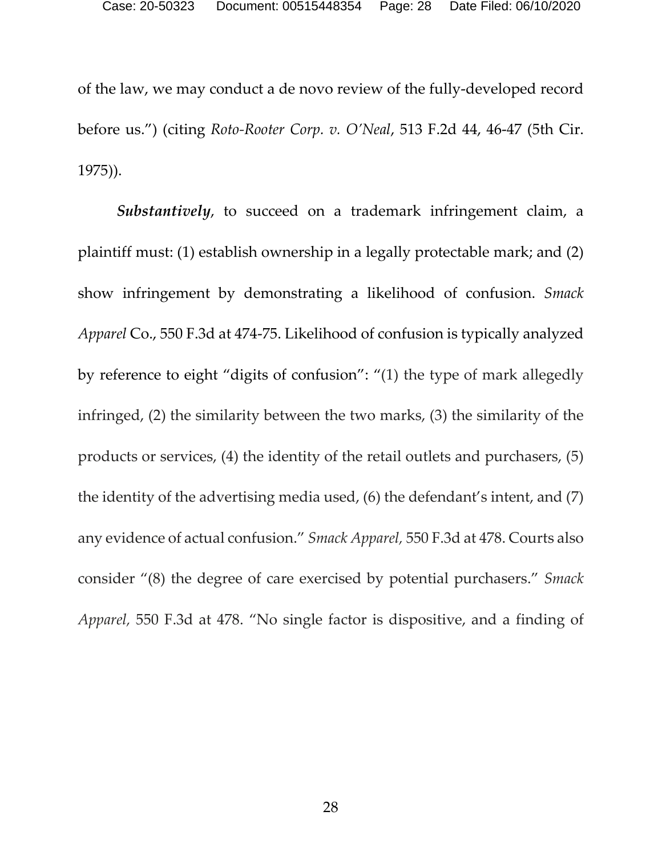of the law, we may conduct a de novo review of the fully-developed record before us.") (citing *Roto-Rooter Corp. v. O'Neal*, 513 F.2d 44, 46-47 (5th Cir. 1975)).

*Substantively*, to succeed on a trademark infringement claim, a plaintiff must: (1) establish ownership in a legally protectable mark; and (2) show infringement by demonstrating a likelihood of confusion. *Smack Apparel* Co., 550 F.3d at 474-75. Likelihood of confusion is typically analyzed by reference to eight "digits of confusion": "(1) the type of mark allegedly infringed, (2) the similarity between the two marks, (3) the similarity of the products or services, (4) the identity of the retail outlets and purchasers, (5) the identity of the advertising media used, (6) the defendant's intent, and (7) any evidence of actual confusion." *Smack Apparel,* 550 F.3d at 478. Courts also consider "(8) the degree of care exercised by potential purchasers." *Smack Apparel,* 550 F.3d at 478. "No single factor is dispositive, and a finding of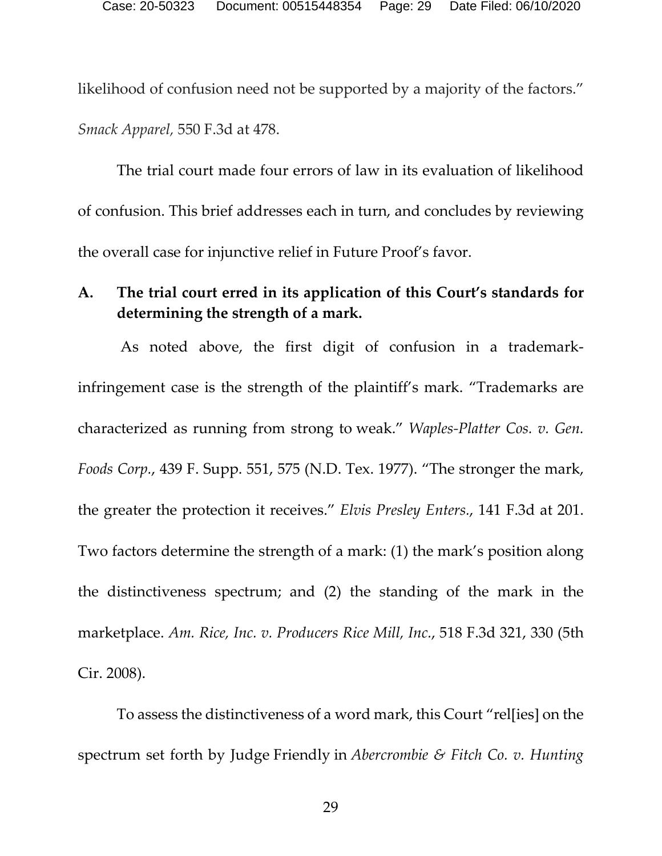likelihood of confusion need not be supported by a majority of the factors." *Smack Apparel,* 550 F.3d at 478.

The trial court made four errors of law in its evaluation of likelihood of confusion. This brief addresses each in turn, and concludes by reviewing the overall case for injunctive relief in Future Proof's favor.

### <span id="page-28-0"></span>**A. The trial court erred in its application of this Court's standards for determining the strength of a mark.**

As noted above, the first digit of confusion in a trademarkinfringement case is the strength of the plaintiff's mark. "Trademarks are characterized as running from strong to weak." *Waples-Platter Cos. v. Gen. Foods Corp.*, 439 F. Supp. 551, 575 (N.D. Tex. 1977). "The stronger the mark, the greater the protection it receives." *Elvis Presley Enters.*, 141 F.3d at 201. Two factors determine the strength of a mark: (1) the mark's position along the distinctiveness spectrum; and (2) the standing of the mark in the marketplace. *Am. Rice, Inc. v. Producers Rice Mill, Inc.*, 518 F.3d 321, 330 (5th Cir. 2008).

To assess the distinctiveness of a word mark, this Court "rel[ies] on the spectrum set forth by Judge Friendly in *Abercrombie & Fitch Co. v. Hunting*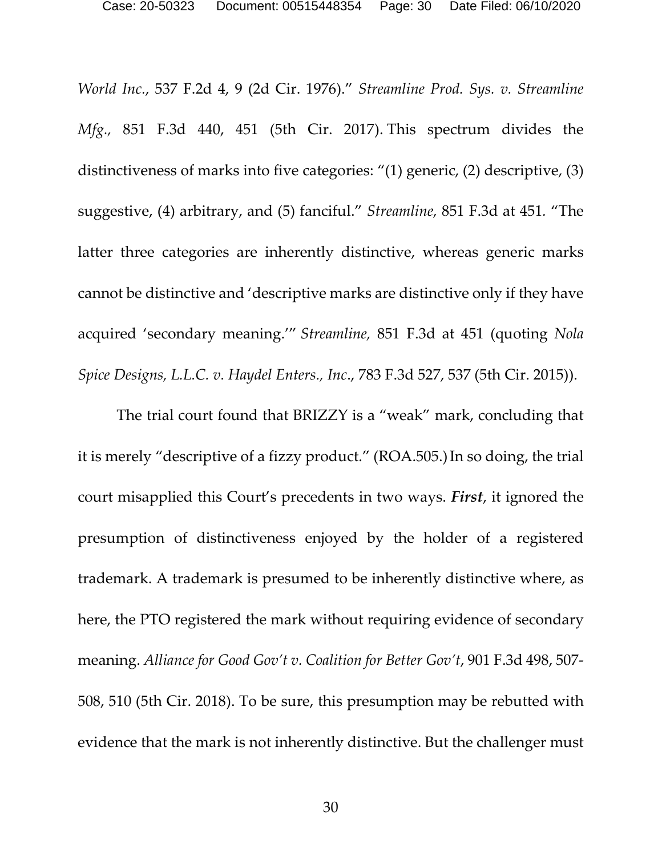*World Inc.*, 537 F.2d 4, 9 (2d Cir. 1976)." *Streamline Prod. Sys. v. Streamline Mfg.,* 851 F.3d 440, 451 (5th Cir. 2017). This spectrum divides the distinctiveness of marks into five categories: "(1) generic, (2) descriptive, (3) suggestive, (4) arbitrary, and (5) fanciful." *Streamline,* 851 F.3d at 451*.* "The latter three categories are inherently distinctive, whereas generic marks cannot be distinctive and 'descriptive marks are distinctive only if they have acquired 'secondary meaning.'" *Streamline,* 851 F.3d at 451 (quoting *Nola Spice Designs, L.L.C. v. Haydel Enters., Inc*., 783 F.3d 527, 537 (5th Cir. 2015)).

The trial court found that BRIZZY is a "weak" mark, concluding that it is merely "descriptive of a fizzy product." (ROA.505.)In so doing, the trial court misapplied this Court's precedents in two ways. *First*, it ignored the presumption of distinctiveness enjoyed by the holder of a registered trademark. A trademark is presumed to be inherently distinctive where, as here, the PTO registered the mark without requiring evidence of secondary meaning. *Alliance for Good Gov't v. Coalition for Better Gov't*, 901 F.3d 498, 507- 508, 510 (5th Cir. 2018). To be sure, this presumption may be rebutted with evidence that the mark is not inherently distinctive. But the challenger must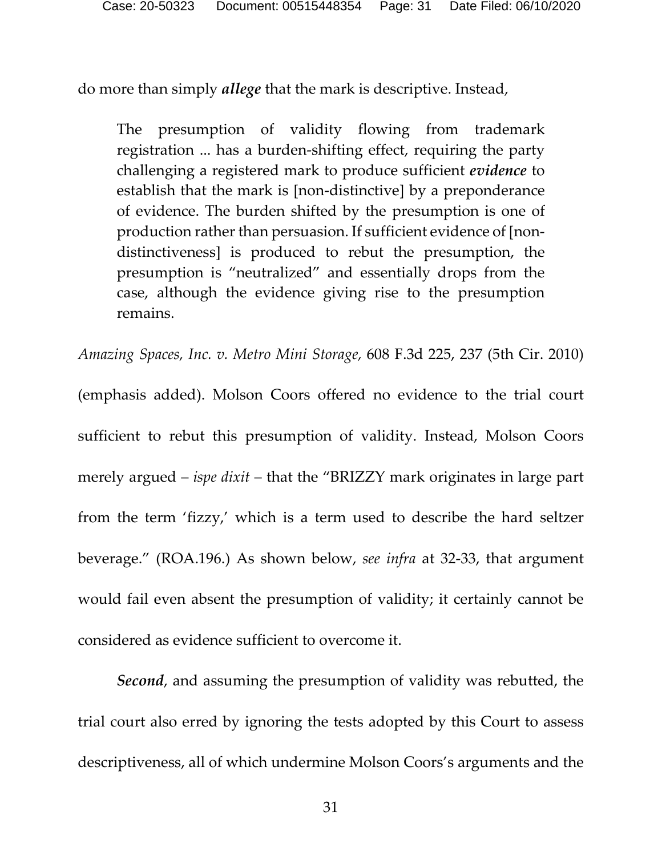do more than simply *allege* that the mark is descriptive. Instead,

The presumption of validity flowing from trademark registration ... has a burden-shifting effect, requiring the party challenging a registered mark to produce sufficient *evidence* to establish that the mark is [non-distinctive] by a preponderance of evidence. The burden shifted by the presumption is one of production rather than persuasion. If sufficient evidence of [nondistinctiveness] is produced to rebut the presumption, the presumption is "neutralized" and essentially drops from the case, although the evidence giving rise to the presumption remains.

*Amazing Spaces, Inc. v. Metro Mini Storage,* 608 F.3d 225, 237 (5th Cir. 2010)

(emphasis added). Molson Coors offered no evidence to the trial court sufficient to rebut this presumption of validity. Instead, Molson Coors merely argued – *ispe dixit* – that the "BRIZZY mark originates in large part from the term 'fizzy,' which is a term used to describe the hard seltzer beverage." (ROA.196.) As shown below, *see infra* at 32-33, that argument would fail even absent the presumption of validity; it certainly cannot be considered as evidence sufficient to overcome it.

*Second*, and assuming the presumption of validity was rebutted, the trial court also erred by ignoring the tests adopted by this Court to assess descriptiveness, all of which undermine Molson Coors's arguments and the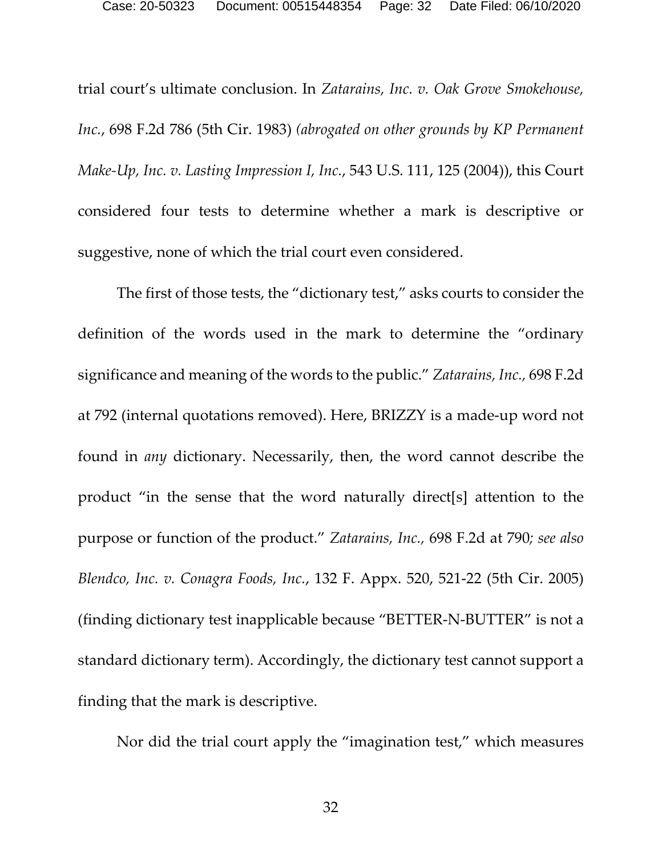trial court's ultimate conclusion. In *Zatarains, Inc. v. Oak Grove Smokehouse, Inc.*, 698 F.2d 786 (5th Cir. 1983) *(abrogated on other grounds by KP Permanent Make-Up, Inc. v. Lasting Impression I, Inc.*, 543 U.S. 111, 125 (2004)), this Court considered four tests to determine whether a mark is descriptive or suggestive, none of which the trial court even considered.

The first of those tests, the "dictionary test," asks courts to consider the definition of the words used in the mark to determine the "ordinary significance and meaning of the words to the public." *Zatarains, Inc.,* 698 F.2d at 792 (internal quotations removed). Here, BRIZZY is a made-up word not found in *any* dictionary. Necessarily, then, the word cannot describe the product "in the sense that the word naturally direct[s] attention to the purpose or function of the product." *Zatarains, Inc.,* 698 F.2d at 790*; see also Blendco, Inc. v. Conagra Foods, Inc.*, 132 F. Appx. 520, 521-22 (5th Cir. 2005) (finding dictionary test inapplicable because "BETTER-N-BUTTER" is not a standard dictionary term). Accordingly, the dictionary test cannot support a finding that the mark is descriptive.

Nor did the trial court apply the "imagination test," which measures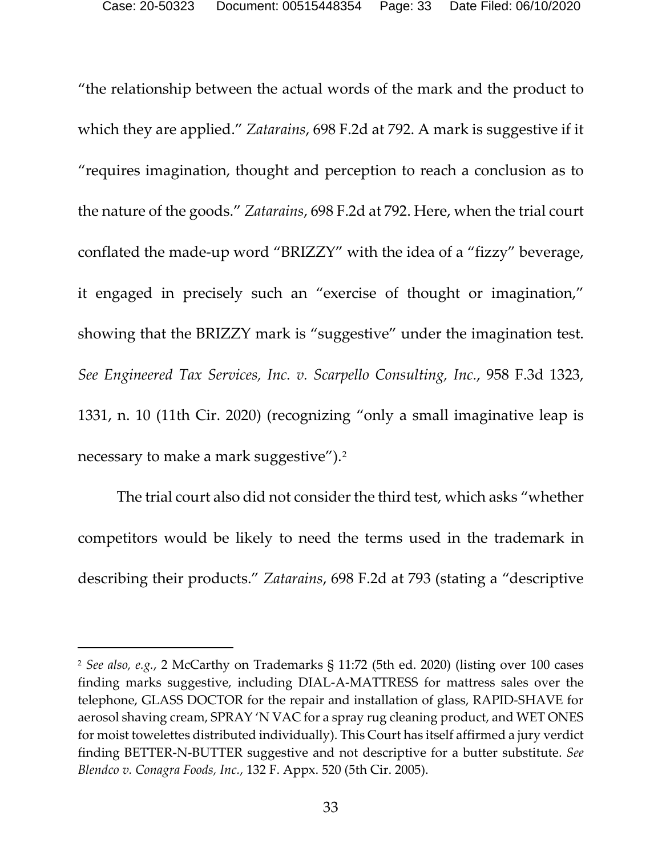"the relationship between the actual words of the mark and the product to which they are applied." *Zatarains*, 698 F.2d at 792. A mark is suggestive if it "requires imagination, thought and perception to reach a conclusion as to the nature of the goods." *Zatarains*, 698 F.2d at 792. Here, when the trial court conflated the made-up word "BRIZZY" with the idea of a "fizzy" beverage, it engaged in precisely such an "exercise of thought or imagination," showing that the BRIZZY mark is "suggestive" under the imagination test. *See Engineered Tax Services, Inc. v. Scarpello Consulting, Inc.*, 958 F.3d 1323, 1331, n. 10 (11th Cir. 2020) (recognizing "only a small imaginative leap is necessary to make a mark suggestive").[2](#page-35-0)

The trial court also did not consider the third test, which asks "whether competitors would be likely to need the terms used in the trademark in describing their products." *Zatarains*, 698 F.2d at 793 (stating a "descriptive

<sup>2</sup> *See also, e.g.*, 2 McCarthy on Trademarks § 11:72 (5th ed. 2020) (listing over 100 cases finding marks suggestive, including DIAL-A-MATTRESS for mattress sales over the telephone, GLASS DOCTOR for the repair and installation of glass, RAPID-SHAVE for aerosol shaving cream, SPRAY 'N VAC for a spray rug cleaning product, and WET ONES for moist towelettes distributed individually). This Court has itself affirmed a jury verdict finding BETTER-N-BUTTER suggestive and not descriptive for a butter substitute. *See Blendco v. Conagra Foods, Inc.*, 132 F. Appx. 520 (5th Cir. 2005).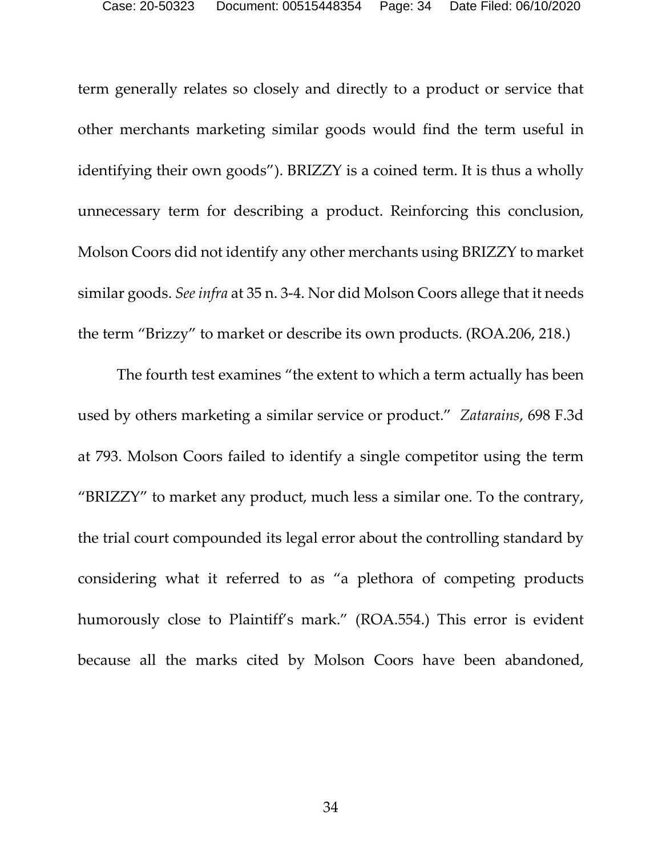term generally relates so closely and directly to a product or service that other merchants marketing similar goods would find the term useful in identifying their own goods"). BRIZZY is a coined term. It is thus a wholly unnecessary term for describing a product. Reinforcing this conclusion, Molson Coors did not identify any other merchants using BRIZZY to market similar goods. *See infra* at 35 n. 3-4. Nor did Molson Coors allege that it needs the term "Brizzy" to market or describe its own products. (ROA.206, 218.)

The fourth test examines "the extent to which a term actually has been used by others marketing a similar service or product." *Zatarains*, 698 F.3d at 793. Molson Coors failed to identify a single competitor using the term "BRIZZY" to market any product, much less a similar one. To the contrary, the trial court compounded its legal error about the controlling standard by considering what it referred to as "a plethora of competing products humorously close to Plaintiff's mark." (ROA.554.) This error is evident because all the marks cited by Molson Coors have been abandoned,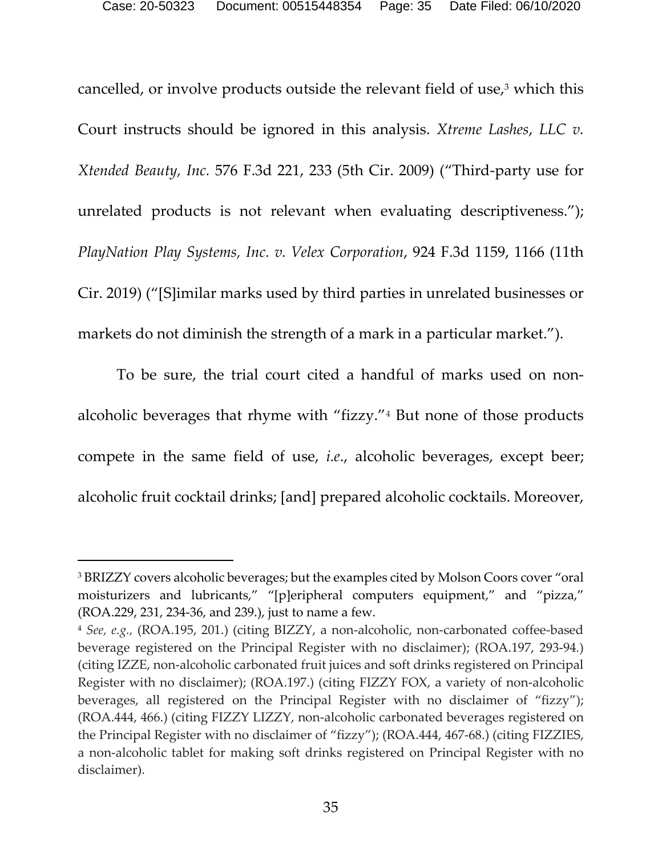cancelled, or involve products outside the relevant field of use,<sup>[3](#page-37-0)</sup> which this Court instructs should be ignored in this analysis. *Xtreme Lashes*, *LLC v. Xtended Beauty, Inc.* 576 F.3d 221, 233 (5th Cir. 2009) ("Third-party use for unrelated products is not relevant when evaluating descriptiveness."); *PlayNation Play Systems, Inc. v. Velex Corporation*, 924 F.3d 1159, 1166 (11th Cir. 2019) ("[S]imilar marks used by third parties in unrelated businesses or markets do not diminish the strength of a mark in a particular market.").

To be sure, the trial court cited a handful of marks used on nonalcoholic beverages that rhyme with "fizzy."[4](#page-38-0) But none of those products compete in the same field of use, *i.e*., alcoholic beverages, except beer; alcoholic fruit cocktail drinks; [and] prepared alcoholic cocktails. Moreover,

<sup>&</sup>lt;sup>3</sup> BRIZZY covers alcoholic beverages; but the examples cited by Molson Coors cover "oral moisturizers and lubricants," "[p]eripheral computers equipment," and "pizza," (ROA.229, 231, 234-36, and 239.), just to name a few.

<sup>4</sup> *See, e.g.,* (ROA.195, 201.) (citing BIZZY, a non-alcoholic, non-carbonated coffee-based beverage registered on the Principal Register with no disclaimer); (ROA.197, 293-94*.*) (citing IZZE, non-alcoholic carbonated fruit juices and soft drinks registered on Principal Register with no disclaimer); (ROA.197.) (citing FIZZY FOX, a variety of non-alcoholic beverages, all registered on the Principal Register with no disclaimer of "fizzy"); (ROA.444, 466.) (citing FIZZY LIZZY, non-alcoholic carbonated beverages registered on the Principal Register with no disclaimer of "fizzy"); (ROA.444, 467-68.) (citing FIZZIES, a non-alcoholic tablet for making soft drinks registered on Principal Register with no disclaimer).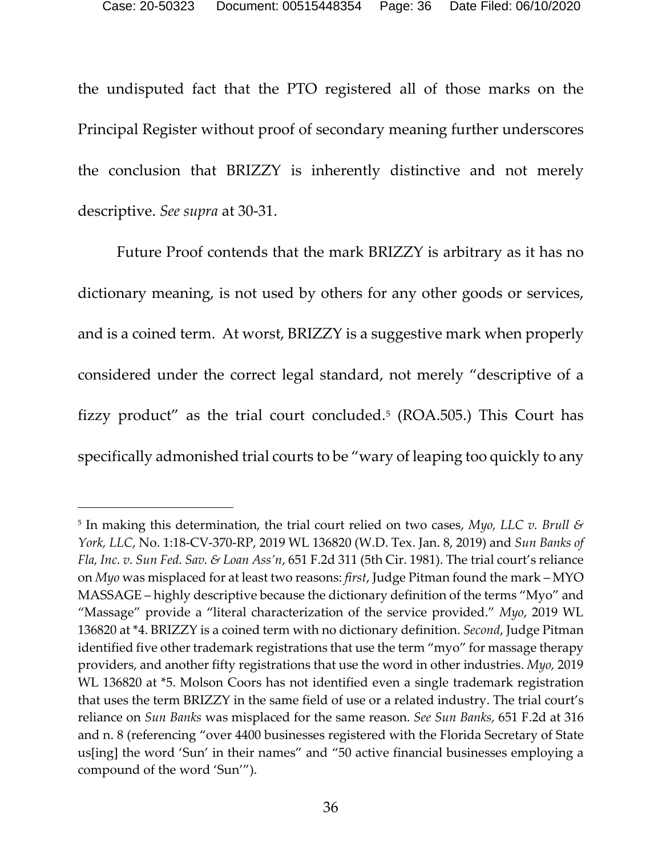the undisputed fact that the PTO registered all of those marks on the Principal Register without proof of secondary meaning further underscores the conclusion that BRIZZY is inherently distinctive and not merely descriptive. *See supra* at 30-31.

Future Proof contends that the mark BRIZZY is arbitrary as it has no dictionary meaning, is not used by others for any other goods or services, and is a coined term. At worst, BRIZZY is a suggestive mark when properly considered under the correct legal standard, not merely "descriptive of a fizzy product" as the trial court concluded.<sup>[5](#page-39-0)</sup> (ROA.505.) This Court has specifically admonished trial courts to be "wary of leaping too quickly to any

<span id="page-35-0"></span><sup>5</sup> In making this determination, the trial court relied on two cases, *Myo, LLC v. Brull & York, LLC*, No. 1:18-CV-370-RP, 2019 WL 136820 (W.D. Tex. Jan. 8, 2019) and *Sun Banks of Fla, Inc. v. Sun Fed. Sav. & Loan Ass'n*, 651 F.2d 311 (5th Cir. 1981). The trial court's reliance on *Myo* was misplaced for at least two reasons: *first*, Judge Pitman found the mark – MYO MASSAGE – highly descriptive because the dictionary definition of the terms "Myo" and "Massage" provide a "literal characterization of the service provided." *Myo*, 2019 WL 136820 at \*4. BRIZZY is a coined term with no dictionary definition. *Second*, Judge Pitman identified five other trademark registrations that use the term "myo" for massage therapy providers, and another fifty registrations that use the word in other industries. *Myo,* 2019 WL 136820 at  $*5$ . Molson Coors has not identified even a single trademark registration that uses the term BRIZZY in the same field of use or a related industry. The trial court's reliance on *Sun Banks* was misplaced for the same reason. *See Sun Banks*, 651 F.2d at 316 and n. 8 (referencing "over 4400 businesses registered with the Florida Secretary of State us[ing] the word 'Sun' in their names" and "50 active financial businesses employing a compound of the word 'Sun'").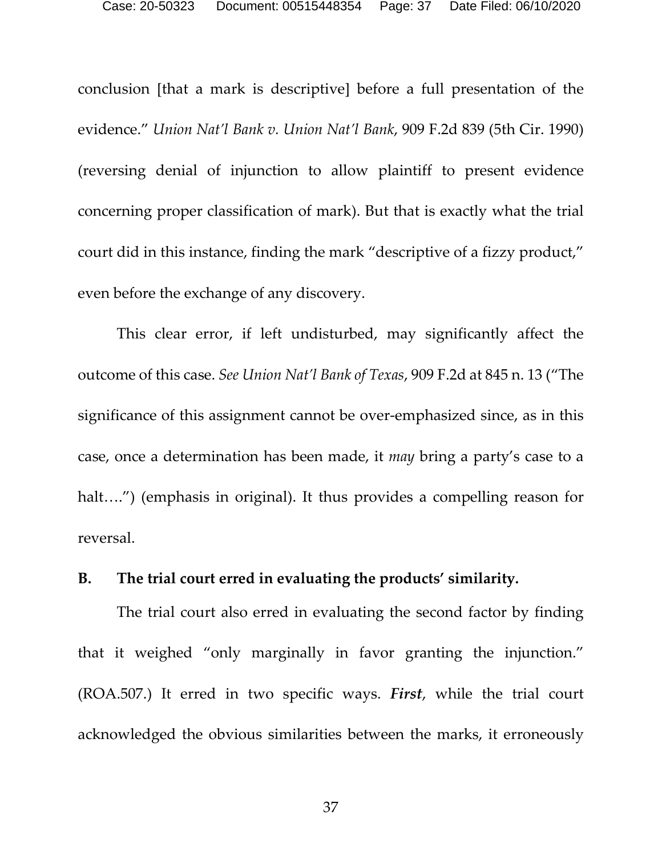conclusion [that a mark is descriptive] before a full presentation of the evidence." *Union Nat'l Bank v. Union Nat'l Bank*, 909 F.2d 839 (5th Cir. 1990) (reversing denial of injunction to allow plaintiff to present evidence concerning proper classification of mark). But that is exactly what the trial court did in this instance, finding the mark "descriptive of a fizzy product," even before the exchange of any discovery.

This clear error, if left undisturbed, may significantly affect the outcome of this case. *See Union Nat'l Bank of Texas*, 909 F.2d at 845 n. 13 ("The significance of this assignment cannot be over-emphasized since, as in this case, once a determination has been made, it *may* bring a party's case to a halt....") (emphasis in original). It thus provides a compelling reason for reversal.

### <span id="page-36-0"></span>**B. The trial court erred in evaluating the products' similarity.**

The trial court also erred in evaluating the second factor by finding that it weighed "only marginally in favor granting the injunction." (ROA.507.) It erred in two specific ways. *First*, while the trial court acknowledged the obvious similarities between the marks, it erroneously

37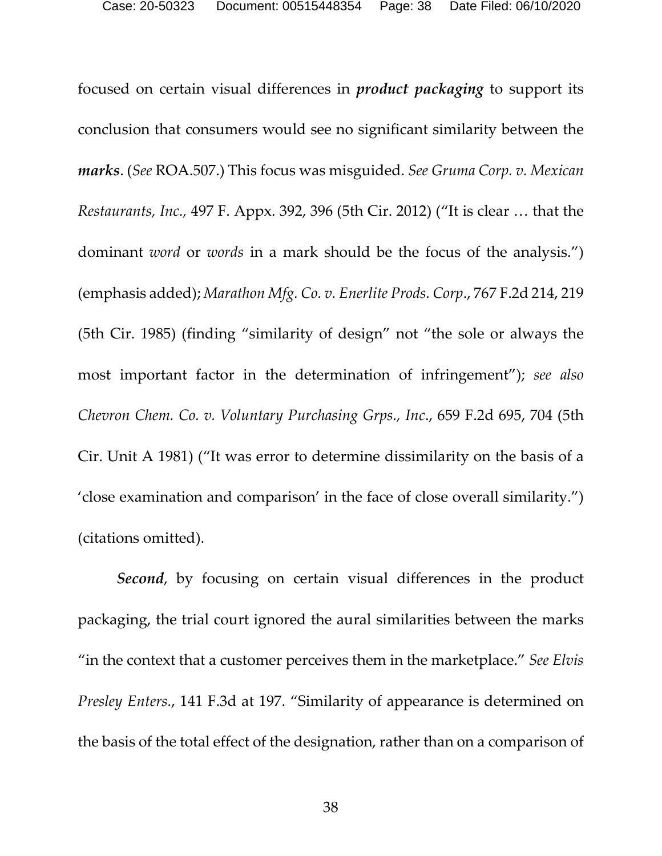focused on certain visual differences in *product packaging* to support its conclusion that consumers would see no significant similarity between the *marks*. (*See* ROA.507.) This focus was misguided. *See Gruma Corp. v. Mexican Restaurants, Inc.,* 497 F. Appx. 392, 396 (5th Cir. 2012) ("It is clear … that the dominant *word* or *words* in a mark should be the focus of the analysis.") (emphasis added); *Marathon Mfg. Co. v. Enerlite Prods. Corp*., 767 F.2d 214, 219 (5th Cir. 1985) (finding "similarity of design" not "the sole or always the most important factor in the determination of infringement"); *see also Chevron Chem. Co. v. Voluntary Purchasing Grps., Inc*., 659 F.2d 695, 704 (5th Cir. Unit A 1981) ("It was error to determine dissimilarity on the basis of a 'close examination and comparison' in the face of close overall similarity.") (citations omitted).

<span id="page-37-0"></span>*Second*, by focusing on certain visual differences in the product packaging, the trial court ignored the aural similarities between the marks "in the context that a customer perceives them in the marketplace." *See Elvis Presley Enters.*, 141 F.3d at 197. "Similarity of appearance is determined on the basis of the total effect of the designation, rather than on a comparison of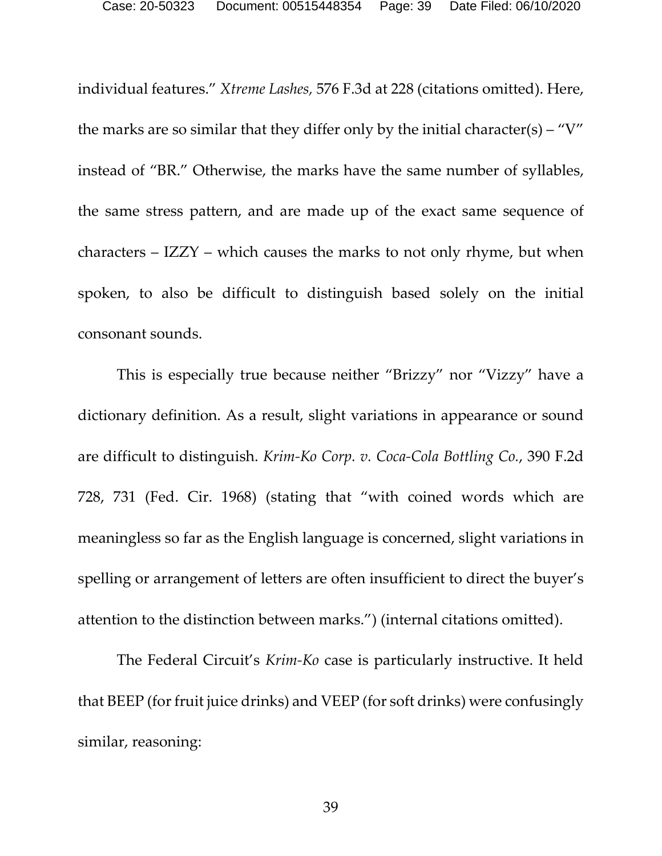individual features." *Xtreme Lashes,* 576 F.3d at 228 (citations omitted). Here, the marks are so similar that they differ only by the initial character(s) – "V" instead of "BR." Otherwise, the marks have the same number of syllables, the same stress pattern, and are made up of the exact same sequence of characters – IZZY – which causes the marks to not only rhyme, but when spoken, to also be difficult to distinguish based solely on the initial consonant sounds.

This is especially true because neither "Brizzy" nor "Vizzy" have a dictionary definition. As a result, slight variations in appearance or sound are difficult to distinguish. *Krim-Ko Corp. v. Coca-Cola Bottling Co.*, 390 F.2d 728, 731 (Fed. Cir. 1968) (stating that "with coined words which are meaningless so far as the English language is concerned, slight variations in spelling or arrangement of letters are often insufficient to direct the buyer's attention to the distinction between marks.") (internal citations omitted).

<span id="page-38-0"></span>The Federal Circuit's *Krim-Ko* case is particularly instructive. It held that BEEP (for fruit juice drinks) and VEEP (for soft drinks) were confusingly similar, reasoning: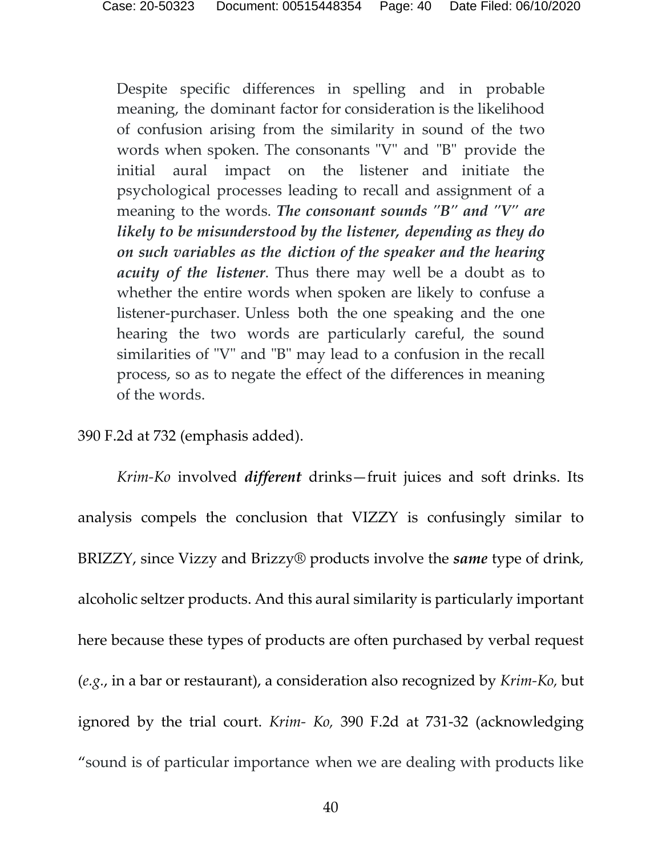Despite specific differences in spelling and in probable meaning, the dominant factor for consideration is the likelihood of confusion arising from the similarity in sound of the two words when spoken. The consonants "V" and "B" provide the initial aural impact on the listener and initiate the psychological processes leading to recall and assignment of a meaning to the words. *The consonant sounds "B" and "V" are likely to be misunderstood by the listener, depending as they do on such variables as the diction of the speaker and the hearing acuity of the listener*. Thus there may well be a doubt as to whether the entire words when spoken are likely to confuse a listener-purchaser. Unless both the one speaking and the one hearing the two words are particularly careful, the sound similarities of "V" and "B" may lead to a confusion in the recall process, so as to negate the effect of the differences in meaning of the words.

#### <span id="page-39-0"></span>390 F.2d at 732 (emphasis added).

*Krim-Ko* involved *different* drinks—fruit juices and soft drinks. Its analysis compels the conclusion that VIZZY is confusingly similar to BRIZZY, since Vizzy and Brizzy® products involve the *same* type of drink, alcoholic seltzer products. And this aural similarity is particularly important here because these types of products are often purchased by verbal request (*e.g.*, in a bar or restaurant), a consideration also recognized by *Krim-Ko,* but ignored by the trial court. *Krim- Ko,* 390 F.2d at 731-32 (acknowledging "sound is of particular importance when we are dealing with products like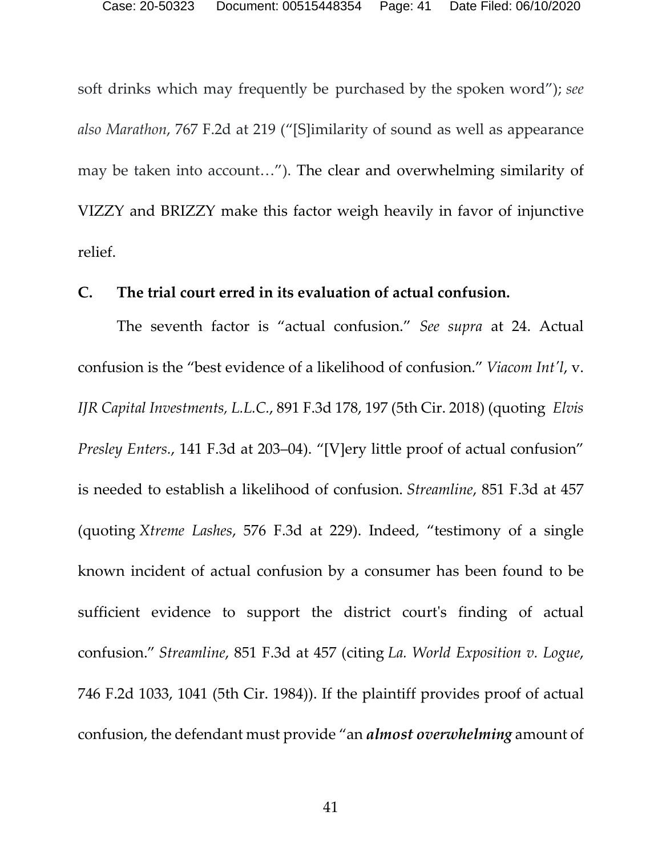soft drinks which may frequently be purchased by the spoken word"); *see also Marathon*, 767 F.2d at 219 ("[S]imilarity of sound as well as appearance may be taken into account…"). The clear and overwhelming similarity of VIZZY and BRIZZY make this factor weigh heavily in favor of injunctive relief.

#### <span id="page-40-0"></span>**C. The trial court erred in its evaluation of actual confusion.**

The seventh factor is "actual confusion." *See supra* at 24. Actual confusion is the "best evidence of a likelihood of confusion." *Viacom Int'l*, v. *IJR Capital Investments, L.L.C.*, 891 F.3d 178, 197 (5th Cir. 2018) (quoting *Elvis Presley Enters.*, 141 F.3d at 203–04). "[V]ery little proof of actual confusion" is needed to establish a likelihood of confusion. *Streamline*, 851 F.3d at 457 (quoting *Xtreme Lashes*, 576 F.3d at 229). Indeed, "testimony of a single known incident of actual confusion by a consumer has been found to be sufficient evidence to support the district court's finding of actual confusion." *Streamline*, 851 F.3d at 457 (citing *La. World Exposition v. Logue*, 746 F.2d 1033, 1041 (5th Cir. 1984)). If the plaintiff provides proof of actual confusion, the defendant must provide "an *almost overwhelming* amount of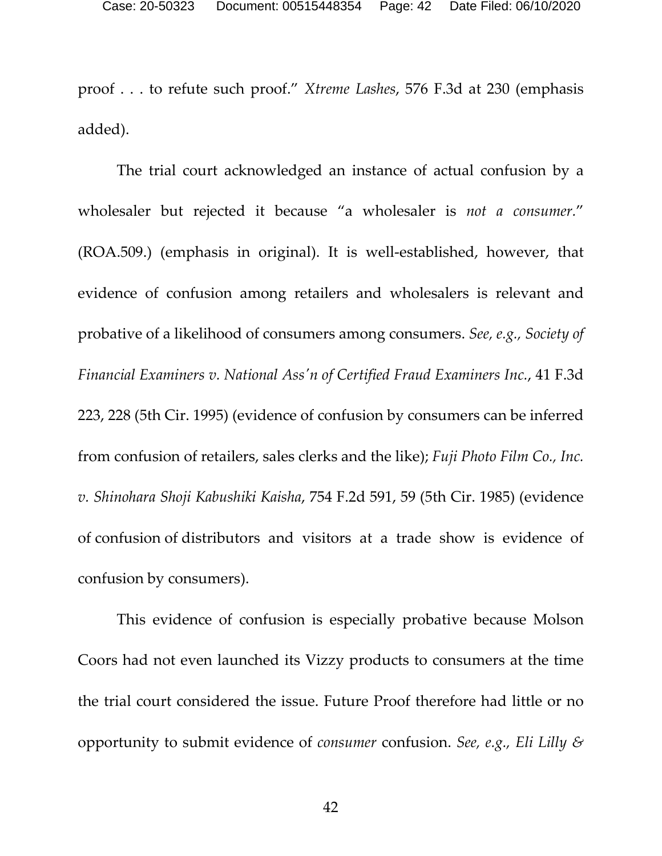proof . . . to refute such proof." *Xtreme Lashes*, 576 F.3d at 230 (emphasis added).

The trial court acknowledged an instance of actual confusion by a wholesaler but rejected it because "a wholesaler is *not a consumer.*" (ROA.509.) (emphasis in original). It is well-established, however, that evidence of confusion among retailers and wholesalers is relevant and probative of a likelihood of consumers among consumers. *See, e.g., Society of Financial Examiners v. National Ass'n of Certified Fraud Examiners Inc.*, 41 F.3d 223, 228 (5th Cir. 1995) (evidence of confusion by consumers can be inferred from confusion of retailers, sales clerks and the like); *Fuji Photo Film Co., Inc. v. Shinohara Shoji Kabushiki Kaisha*, 754 F.2d 591, 59 (5th Cir. 1985) (evidence of confusion of distributors and visitors at a trade show is evidence of confusion by consumers).

This evidence of confusion is especially probative because Molson Coors had not even launched its Vizzy products to consumers at the time the trial court considered the issue. Future Proof therefore had little or no opportunity to submit evidence of *consumer* confusion. *See, e.g., Eli Lilly &*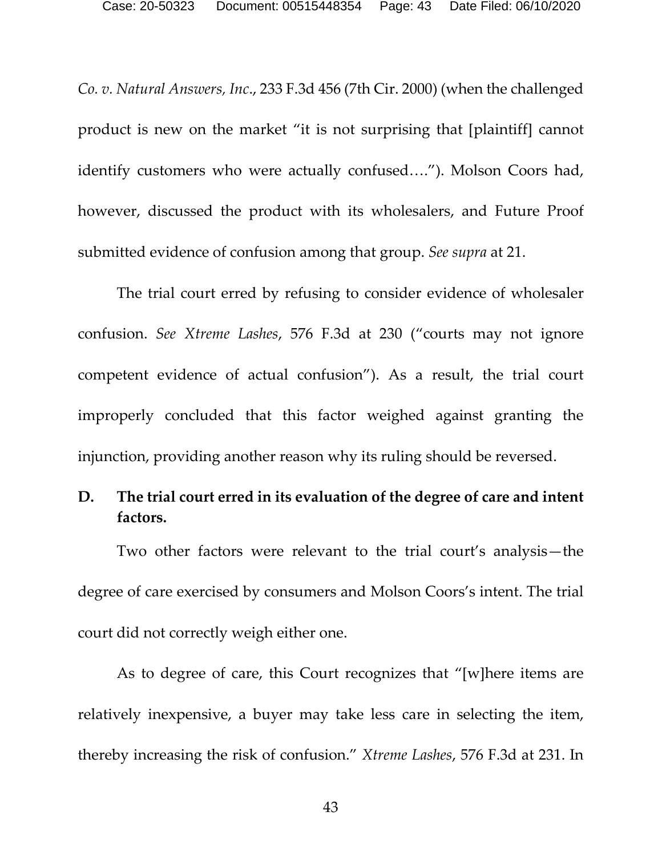*Co. v. Natural Answers, Inc*., 233 F.3d 456 (7th Cir. 2000) (when the challenged product is new on the market "it is not surprising that [plaintiff] cannot identify customers who were actually confused…."). Molson Coors had, however, discussed the product with its wholesalers, and Future Proof submitted evidence of confusion among that group. *See supra* at 21.

The trial court erred by refusing to consider evidence of wholesaler confusion. *See Xtreme Lashes*, 576 F.3d at 230 ("courts may not ignore competent evidence of actual confusion"). As a result, the trial court improperly concluded that this factor weighed against granting the injunction, providing another reason why its ruling should be reversed.

# <span id="page-42-0"></span>**D. The trial court erred in its evaluation of the degree of care and intent factors.**

Two other factors were relevant to the trial court's analysis—the degree of care exercised by consumers and Molson Coors's intent. The trial court did not correctly weigh either one.

As to degree of care, this Court recognizes that "[w]here items are relatively inexpensive, a buyer may take less care in selecting the item, thereby increasing the risk of confusion." *Xtreme Lashes*, 576 F.3d at 231. In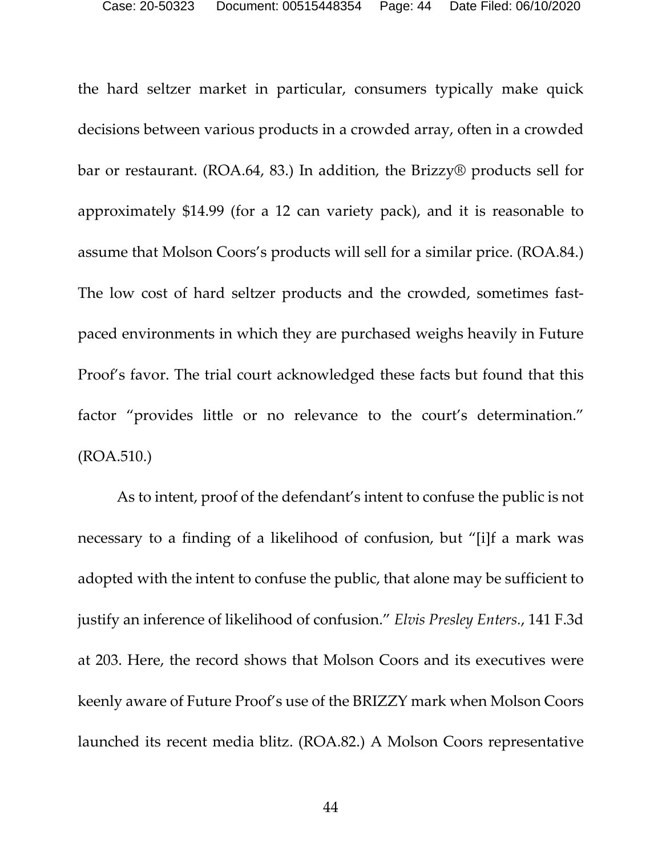the hard seltzer market in particular, consumers typically make quick decisions between various products in a crowded array, often in a crowded bar or restaurant. (ROA.64, 83.) In addition, the Brizzy® products sell for approximately \$14.99 (for a 12 can variety pack), and it is reasonable to assume that Molson Coors's products will sell for a similar price. (ROA.84.) The low cost of hard seltzer products and the crowded, sometimes fastpaced environments in which they are purchased weighs heavily in Future Proof's favor. The trial court acknowledged these facts but found that this factor "provides little or no relevance to the court's determination." (ROA.510.)

As to intent, proof of the defendant's intent to confuse the public is not necessary to a finding of a likelihood of confusion, but "[i]f a mark was adopted with the intent to confuse the public, that alone may be sufficient to justify an inference of likelihood of confusion." *Elvis Presley Enters.*, 141 F.3d at 203. Here, the record shows that Molson Coors and its executives were keenly aware of Future Proof's use of the BRIZZY mark when Molson Coors launched its recent media blitz. (ROA.82.) A Molson Coors representative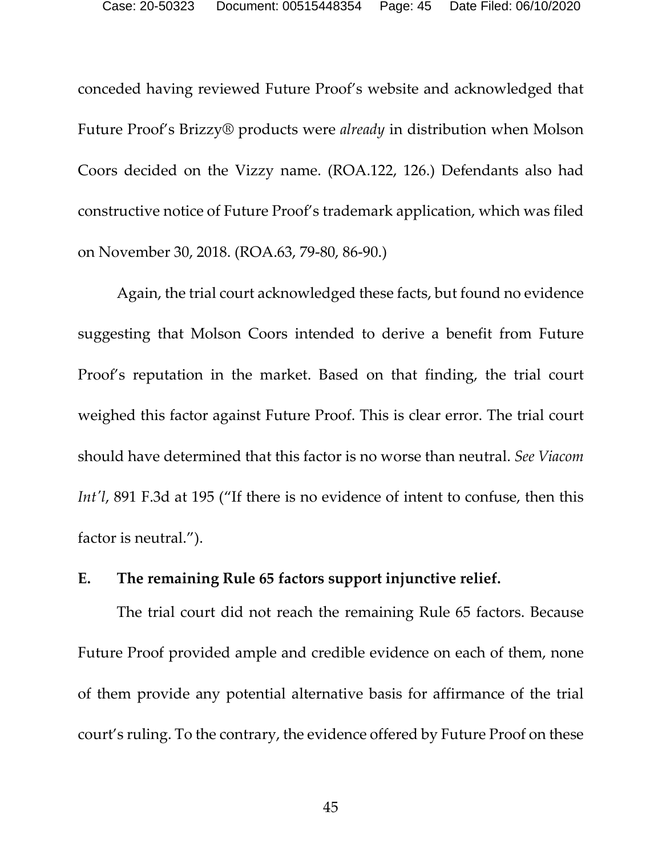conceded having reviewed Future Proof's website and acknowledged that Future Proof's Brizzy® products were *already* in distribution when Molson Coors decided on the Vizzy name. (ROA.122, 126.) Defendants also had constructive notice of Future Proof's trademark application, which was filed on November 30, 2018. (ROA.63, 79-80, 86-90.)

Again, the trial court acknowledged these facts, but found no evidence suggesting that Molson Coors intended to derive a benefit from Future Proof's reputation in the market. Based on that finding, the trial court weighed this factor against Future Proof. This is clear error. The trial court should have determined that this factor is no worse than neutral. *See Viacom Int'l*, 891 F.3d at 195 ("If there is no evidence of intent to confuse, then this factor is neutral.").

### <span id="page-44-0"></span>**E. The remaining Rule 65 factors support injunctive relief.**

The trial court did not reach the remaining Rule 65 factors. Because Future Proof provided ample and credible evidence on each of them, none of them provide any potential alternative basis for affirmance of the trial court's ruling. To the contrary, the evidence offered by Future Proof on these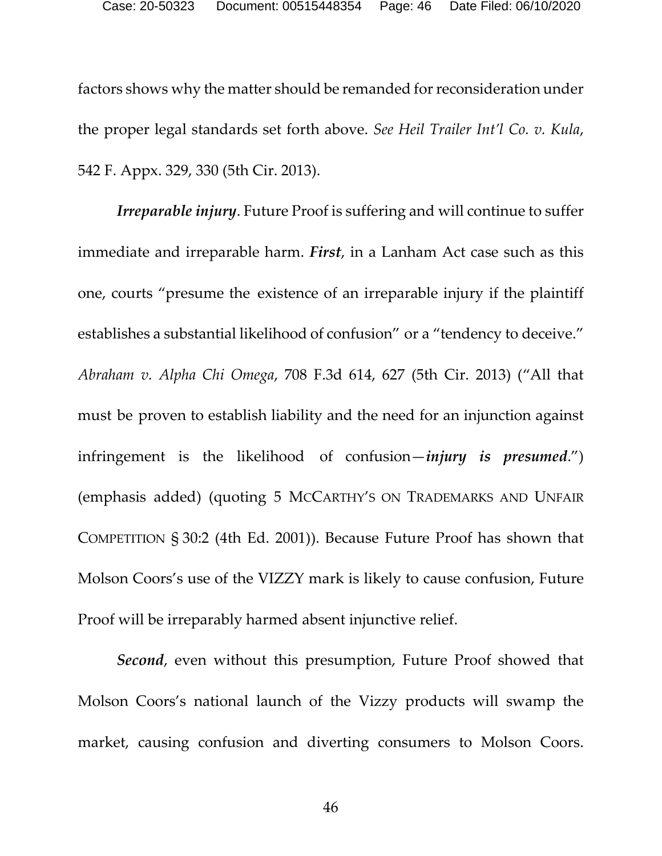factors shows why the matter should be remanded for reconsideration under the proper legal standards set forth above. *See Heil Trailer Int'l Co. v. Kula*, 542 F. Appx. 329, 330 (5th Cir. 2013).

*Irreparable injury*. Future Proof is suffering and will continue to suffer immediate and irreparable harm. *First*, in a Lanham Act case such as this one, courts "presume the existence of an irreparable injury if the plaintiff establishes a substantial likelihood of confusion" or a "tendency to deceive." *Abraham v. Alpha Chi Omega*, 708 F.3d 614, 627 (5th Cir. 2013) ("All that must be proven to establish liability and the need for an injunction against infringement is the likelihood of confusion—*injury is presumed*.") (emphasis added) (quoting 5 MCCARTHY'S ON TRADEMARKS AND UNFAIR COMPETITION § 30:2 (4th Ed. 2001)). Because Future Proof has shown that Molson Coors's use of the VIZZY mark is likely to cause confusion, Future Proof will be irreparably harmed absent injunctive relief.

*Second*, even without this presumption, Future Proof showed that Molson Coors's national launch of the Vizzy products will swamp the market, causing confusion and diverting consumers to Molson Coors.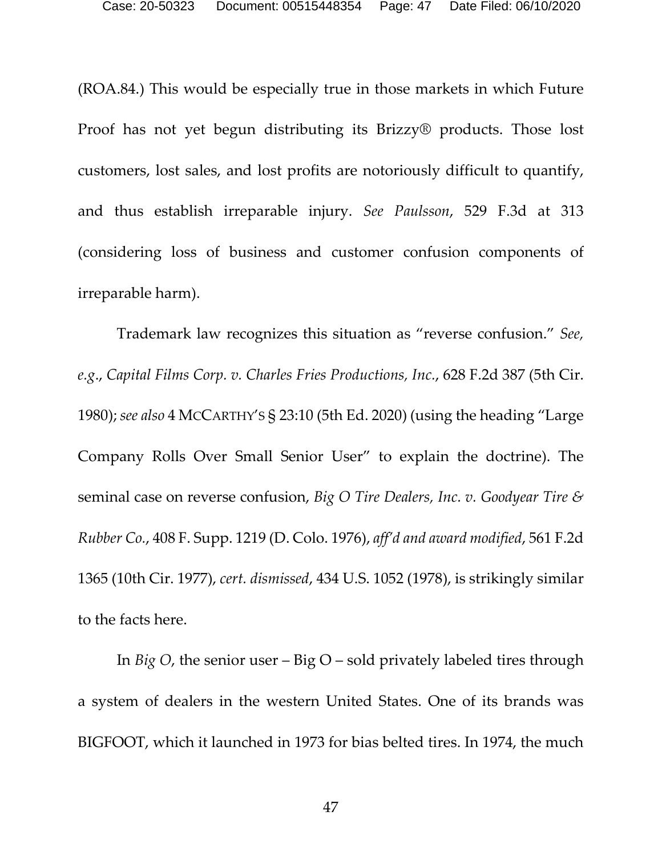(ROA.84.) This would be especially true in those markets in which Future Proof has not yet begun distributing its Brizzy® products. Those lost customers, lost sales, and lost profits are notoriously difficult to quantify, and thus establish irreparable injury. *See Paulsson*, 529 F.3d at 313 (considering loss of business and customer confusion components of irreparable harm).

Trademark law recognizes this situation as "reverse confusion." *See, e.g*., *Capital Films Corp. v. Charles Fries Productions, Inc.*, 628 F.2d 387 (5th Cir. 1980); *see also* 4 MCCARTHY'S § 23:10 (5th Ed. 2020) (using the heading "Large Company Rolls Over Small Senior User" to explain the doctrine). The seminal case on reverse confusion, *Big O Tire Dealers, Inc. v. Goodyear Tire & Rubber Co.*, 408 F. Supp. 1219 (D. Colo. 1976), *aff'd and award modified*, 561 F.2d 1365 (10th Cir. 1977), *cert. dismissed*, 434 U.S. 1052 (1978), is strikingly similar to the facts here.

In *Big O*, the senior user – Big O – sold privately labeled tires through a system of dealers in the western United States. One of its brands was BIGFOOT, which it launched in 1973 for bias belted tires. In 1974, the much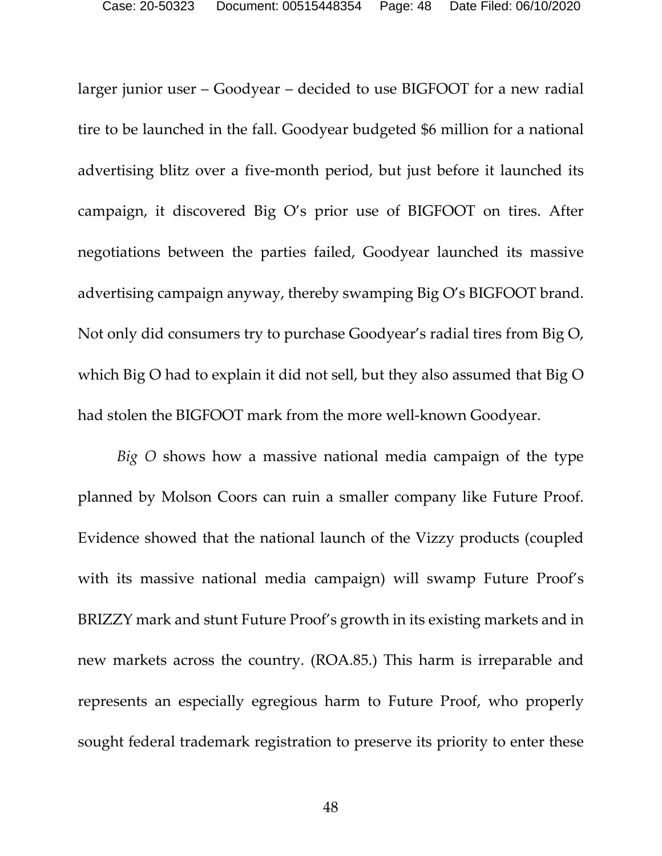larger junior user – Goodyear – decided to use BIGFOOT for a new radial tire to be launched in the fall. Goodyear budgeted \$6 million for a national advertising blitz over a five-month period, but just before it launched its campaign, it discovered Big O's prior use of BIGFOOT on tires. After negotiations between the parties failed, Goodyear launched its massive advertising campaign anyway, thereby swamping Big O's BIGFOOT brand. Not only did consumers try to purchase Goodyear's radial tires from Big O, which Big O had to explain it did not sell, but they also assumed that Big O had stolen the BIGFOOT mark from the more well-known Goodyear.

*Big O* shows how a massive national media campaign of the type planned by Molson Coors can ruin a smaller company like Future Proof. Evidence showed that the national launch of the Vizzy products (coupled with its massive national media campaign) will swamp Future Proof's BRIZZY mark and stunt Future Proof's growth in its existing markets and in new markets across the country. (ROA.85.) This harm is irreparable and represents an especially egregious harm to Future Proof, who properly sought federal trademark registration to preserve its priority to enter these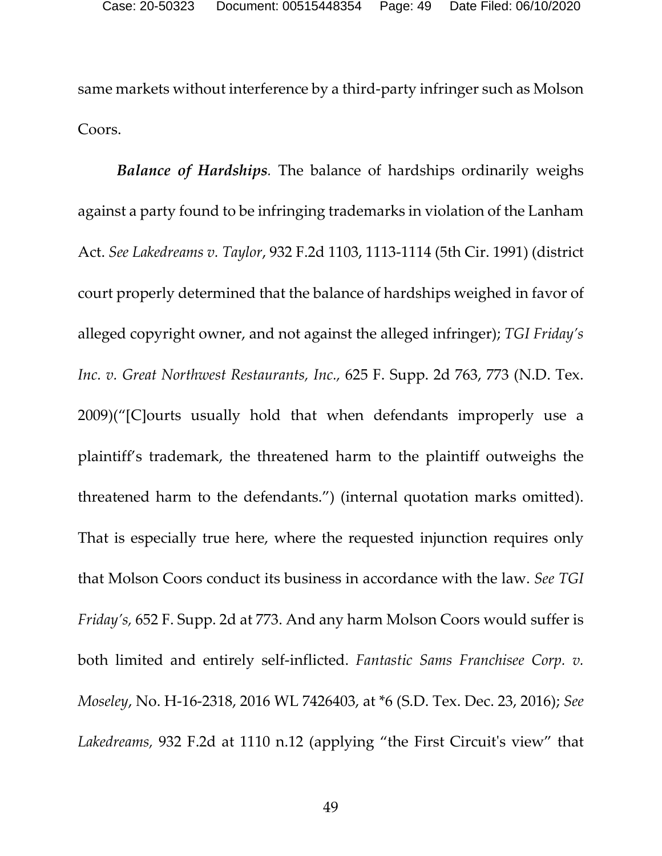same markets without interference by a third-party infringer such as Molson Coors.

*Balance of Hardships.* The balance of hardships ordinarily weighs against a party found to be infringing trademarks in violation of the Lanham Act. *See Lakedreams v. Taylor*, 932 F.2d 1103, 1113-1114 (5th Cir. 1991) (district court properly determined that the balance of hardships weighed in favor of alleged copyright owner, and not against the alleged infringer); *TGI Friday's Inc. v. Great Northwest Restaurants, Inc.,* 625 F. Supp. 2d 763, 773 (N.D. Tex. 2009)("[C]ourts usually hold that when defendants improperly use a plaintiff's trademark, the threatened harm to the plaintiff outweighs the threatened harm to the defendants.") (internal quotation marks omitted). That is especially true here, where the requested injunction requires only that Molson Coors conduct its business in accordance with the law. *See TGI Friday's,* 652 F. Supp. 2d at 773. And any harm Molson Coors would suffer is both limited and entirely self-inflicted. *Fantastic Sams Franchisee Corp. v. Moseley*, No. H-16-2318, 2016 WL 7426403, at \*6 (S.D. Tex. Dec. 23, 2016); *See Lakedreams,* 932 F.2d at 1110 n.12 (applying "the First Circuit's view" that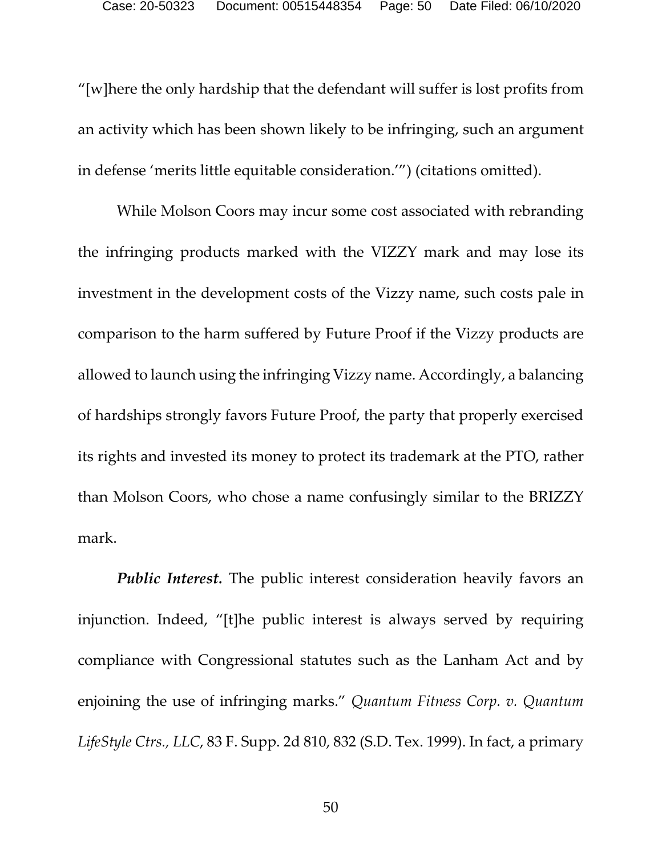"[w]here the only hardship that the defendant will suffer is lost profits from an activity which has been shown likely to be infringing, such an argument in defense 'merits little equitable consideration.'") (citations omitted).

While Molson Coors may incur some cost associated with rebranding the infringing products marked with the VIZZY mark and may lose its investment in the development costs of the Vizzy name, such costs pale in comparison to the harm suffered by Future Proof if the Vizzy products are allowed to launch using the infringing Vizzy name. Accordingly, a balancing of hardships strongly favors Future Proof, the party that properly exercised its rights and invested its money to protect its trademark at the PTO, rather than Molson Coors, who chose a name confusingly similar to the BRIZZY mark.

*Public Interest.* The public interest consideration heavily favors an injunction. Indeed, "[t]he public interest is always served by requiring compliance with Congressional statutes such as the Lanham Act and by enjoining the use of infringing marks." *Quantum Fitness Corp. v. Quantum LifeStyle Ctrs., LLC*, 83 F. Supp. 2d 810, 832 (S.D. Tex. 1999). In fact, a primary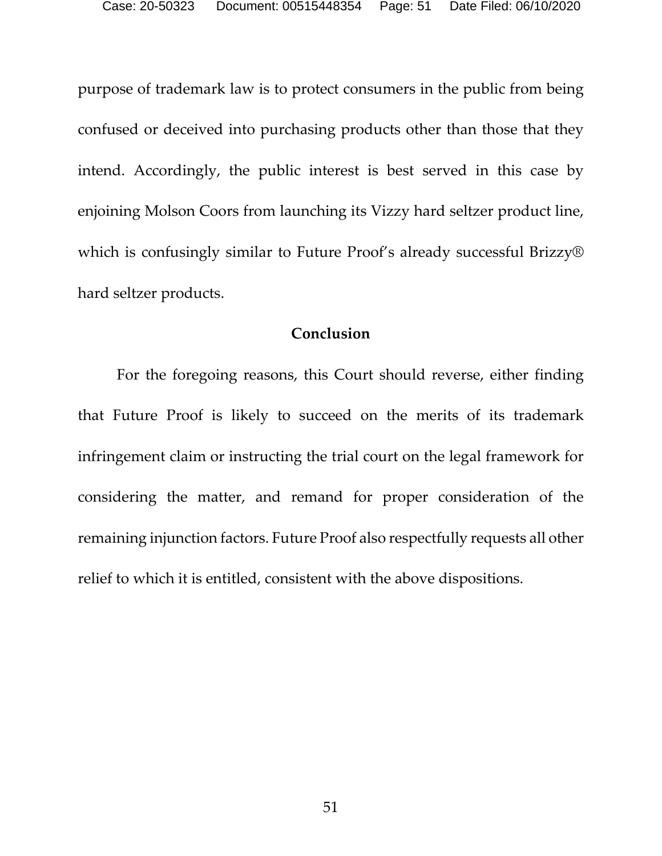purpose of trademark law is to protect consumers in the public from being confused or deceived into purchasing products other than those that they intend. Accordingly, the public interest is best served in this case by enjoining Molson Coors from launching its Vizzy hard seltzer product line, which is confusingly similar to Future Proof's already successful Brizzy® hard seltzer products.

#### **Conclusion**

<span id="page-50-0"></span>For the foregoing reasons, this Court should reverse, either finding that Future Proof is likely to succeed on the merits of its trademark infringement claim or instructing the trial court on the legal framework for considering the matter, and remand for proper consideration of the remaining injunction factors. Future Proof also respectfully requests all other relief to which it is entitled, consistent with the above dispositions.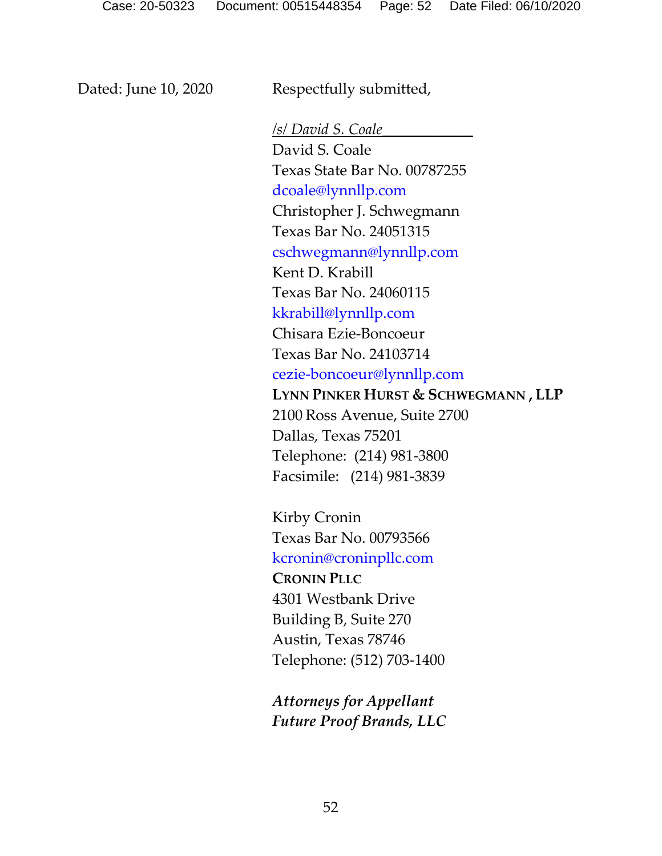Dated: June 10, 2020 Respectfully submitted,

*/s/ David S. Coale\_\_\_\_\_\_\_\_\_\_\_\_*  David S. Coale Texas State Bar No. 00787255 dcoale@lynnllp.com Christopher J. Schwegmann Texas Bar No. 24051315 [cschwegmann@lynnllp.com](mailto:cschwegmann@lynnllp.com) Kent D. Krabill Texas Bar No. 24060115 kkrabill@lynnllp.com Chisara Ezie-Boncoeur Texas Bar No. 24103714 cezie-boncoeur@lynnllp.com **LYNN PINKER HURST & SCHWEGMANN , LLP** 2100 Ross Avenue, Suite 2700 Dallas, Texas 75201 Telephone: (214) 981-3800 Facsimile: (214) 981-3839

Kirby Cronin Texas Bar No. 00793566 kcronin@croninpllc.com **CRONIN PLLC** 4301 Westbank Drive Building B, Suite 270 Austin, Texas 78746 Telephone: (512) 703-1400

*Attorneys for Appellant Future Proof Brands, LLC*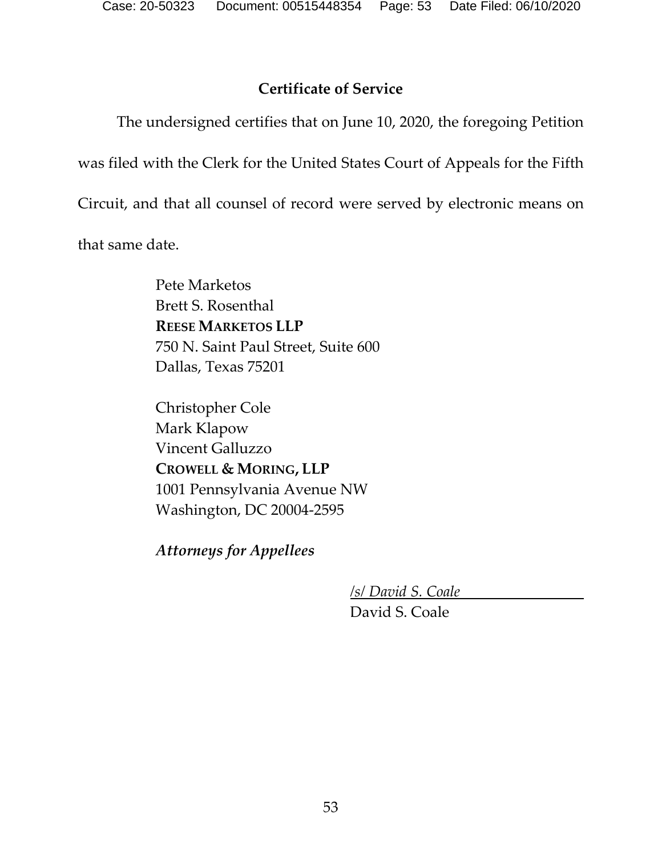### **Certificate of Service**

<span id="page-52-0"></span>The undersigned certifies that on June 10, 2020, the foregoing Petition

was filed with the Clerk for the United States Court of Appeals for the Fifth

Circuit, and that all counsel of record were served by electronic means on

that same date.

Pete Marketos Brett S. Rosenthal **REESE MARKETOS LLP** 750 N. Saint Paul Street, Suite 600 Dallas, Texas 75201

Christopher Cole Mark Klapow Vincent Galluzzo **CROWELL & MORING, LLP** 1001 Pennsylvania Avenue NW Washington, DC 20004-2595

*Attorneys for Appellees*

*/s/ David S. Coale*

David S. Coale